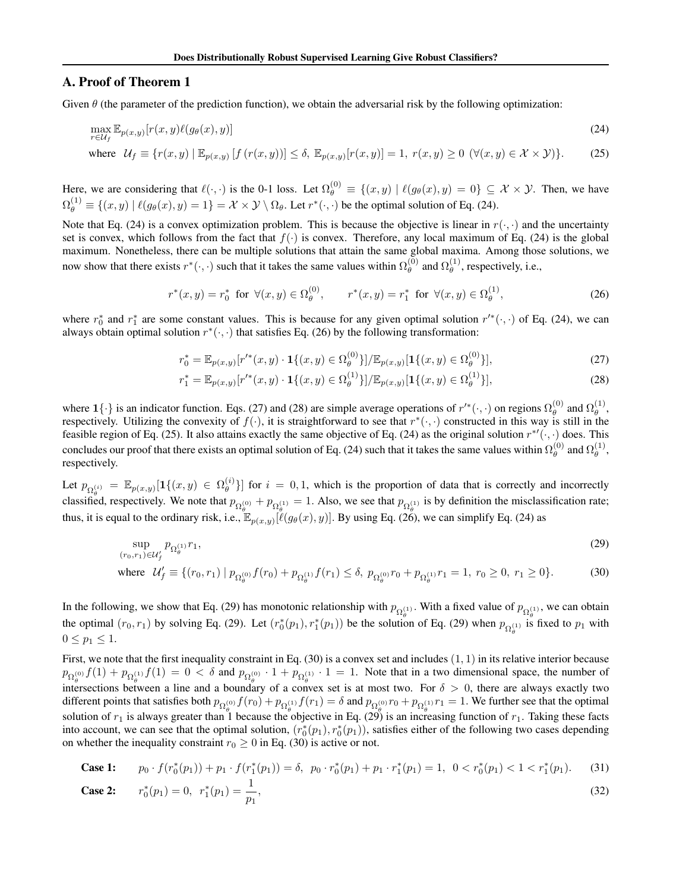# A. Proof of Theorem 1

Given  $\theta$  (the parameter of the prediction function), we obtain the adversarial risk by the following optimization:

$$
\max_{r \in \mathcal{U}_f} \mathbb{E}_{p(x,y)}[r(x,y)\ell(g_{\theta}(x),y)] \tag{24}
$$
\nwhere  $\mathcal{U}_f \equiv \{r(x,y) \mid \mathbb{E}_{p(x,y)}[f(r(x,y))] \le \delta, \mathbb{E}_{p(x,y)}[r(x,y)] = 1, r(x,y) \ge 0 \ (\forall (x,y) \in \mathcal{X} \times \mathcal{Y})\}.$ 

Here, we are considering that  $\ell(\cdot, \cdot)$  is the 0-1 loss. Let  $\Omega_{\theta}^{(0)} \equiv \{(x, y) \mid \ell(g_{\theta}(x), y) = 0\} \subseteq \mathcal{X} \times \mathcal{Y}$ . Then, we have  $\Omega_{\theta}^{(1)} \equiv \{(x, y) \mid \ell(g_{\theta}(x), y) = 1\} = \mathcal{X} \times \mathcal{Y} \setminus \Omega_{\theta}$ . Let  $r^*(\cdot, \cdot)$  be the optimal solution of Eq. (24).

Note that Eq. (24) is a convex optimization problem. This is because the objective is linear in  $r(\cdot, \cdot)$  and the uncertainty set is convex, which follows from the fact that  $f(\cdot)$  is convex. Therefore, any local maximum of Eq. (24) is the global maximum. Nonetheless, there can be multiple solutions that attain the same global maxima. Among those solutions, we now show that there exists  $r^*(\cdot, \cdot)$  such that it takes the same values within  $\Omega_{\theta}^{(0)}$  and  $\Omega_{\theta}^{(1)}$ , respectively, i.e.,

$$
r^*(x,y) = r_0^* \text{ for } \forall (x,y) \in \Omega_{\theta}^{(0)}, \qquad r^*(x,y) = r_1^* \text{ for } \forall (x,y) \in \Omega_{\theta}^{(1)}, \tag{26}
$$

where  $r_0^*$  and  $r_1^*$  are some constant values. This is because for any given optimal solution  $r'^*(\cdot, \cdot)$  of Eq. (24), we can always obtain optimal solution  $r^*(\cdot, \cdot)$  that satisfies Eq. (26) by the following transformation:

$$
r_0^* = \mathbb{E}_{p(x,y)}[r'^*(x,y) \cdot \mathbf{1}\{(x,y) \in \Omega_{\theta}^{(0)}\}]/\mathbb{E}_{p(x,y)}[\mathbf{1}\{(x,y) \in \Omega_{\theta}^{(0)}\}],
$$
\n(27)

$$
r_1^* = \mathbb{E}_{p(x,y)}[r'^*(x,y) \cdot \mathbf{1}\{(x,y) \in \Omega_\theta^{(1)}\}]/\mathbb{E}_{p(x,y)}[\mathbf{1}\{(x,y) \in \Omega_\theta^{(1)}\}],
$$
\n(28)

where  $\mathbf{1}\{\cdot\}$  is an indicator function. Eqs. (27) and (28) are simple average operations of  $r'^*(\cdot, \cdot)$  on regions  $\Omega_{\theta}^{(0)}$  and  $\Omega_{\theta}^{(1)}$ , respectively. Utilizing the convexity of  $f(\cdot)$ , it is straightforward to see that  $r^*(\cdot, \cdot)$  constructed in this way is still in the feasible region of Eq. (25). It also attains exactly the same objective of Eq. (24) as the original solution  $r^*(\cdot, \cdot)$  does. This concludes our proof that there exists an optimal solution of Eq. (24) such that it takes the same values within  $\Omega_{\theta}^{(0)}$  and  $\Omega_{\theta}^{(1)}$ , respectively.

Let  $p_{\Omega_{\alpha}^{(i)}} = \mathbb{E}_{p(x,y)}[\mathbf{1}\{(x,y) \in \Omega_{\theta}^{(i)}\}]$  for  $i = 0,1$ , which is the proportion of data that is correctly and incorrectly classified, respectively. We note that  $p_{\Omega_{\theta}^{(0)}} + p_{\Omega_{\theta}^{(1)}} = 1$ . Also, we see that  $p_{\Omega_{\theta}^{(1)}}$  is by definition the misclassification rate; thus, it is equal to the ordinary risk, i.e.,  $\mathbb{E}_{p(x,y)}[\ell(g_{\theta}(x), y)]$ . By using Eq. (26), we can simplify Eq. (24) as

$$
\sup_{(r_0,r_1)\in\mathcal{U}'_f} p_{\Omega_{\theta}^{(1)}} r_1,\tag{29}
$$

where 
$$
U'_f \equiv \{(r_0, r_1) | p_{\Omega_{\theta}^{(0)}} f(r_0) + p_{\Omega_{\theta}^{(1)}} f(r_1) \le \delta, p_{\Omega_{\theta}^{(0)}} r_0 + p_{\Omega_{\theta}^{(1)}} r_1 = 1, r_0 \ge 0, r_1 \ge 0\}.
$$
 (30)

In the following, we show that Eq. (29) has monotonic relationship with  $p_{\Omega_A^{(1)}}$ . With a fixed value of  $p_{\Omega_A^{(1)}}$ , we can obtain the optimal  $(r_0, r_1)$  by solving Eq. (29). Let  $(r_0^*(p_1), r_1^*(p_1))$  be the solution of Eq. (29) when  $p_{\Omega_{\theta}^{(1)}}$  is fixed to  $p_1$  with  $0 \le p_1 \le 1.$ 

First, we note that the first inequality constraint in Eq. (30) is a convex set and includes (1*,* 1) in its relative interior because  $p_{\Omega_{\theta}^{(0)}} f(1) + p_{\Omega_{\theta}^{(1)}} f(1) = 0 < \delta$  and  $p_{\Omega_{\theta}^{(0)}} \cdot 1 + p_{\Omega_{\theta}^{(1)}} \cdot 1 = 1$ . Note that in a two dimensional space, the number of intersections between a line and a boundary of a convex set is at most two. For  $\delta > 0$ , there are always exactly two different points that satisfies both  $p_{\Omega_{\alpha}^{(0)}} f(r_0) + p_{\Omega_{\alpha}^{(1)}} f(r_1) = \delta$  and  $p_{\Omega_{\alpha}^{(0)}} r_0 + p_{\Omega_{\alpha}^{(1)}} r_1 = 1$ . We further see that the optimal solution of  $r_1$  is always greater than 1 because the objective in Eq. (29) is an increasing function of  $r_1$ . Taking these facts into account, we can see that the optimal solution,  $(r_0^*(p_1), r_0^*(p_1))$ , satisfies either of the following two cases depending on whether the inequality constraint  $r_0 \ge 0$  in Eq. (30) is active or not.

Case 1: 
$$
p_0 \cdot f(r_0^*(p_1)) + p_1 \cdot f(r_1^*(p_1)) = \delta, \ p_0 \cdot r_0^*(p_1) + p_1 \cdot r_1^*(p_1) = 1, \ 0 < r_0^*(p_1) < 1 < r_1^*(p_1). \tag{31}
$$

Case 2: 
$$
r_0^*(p_1) = 0, r_1^*(p_1) = \frac{1}{p_1},
$$
 (32)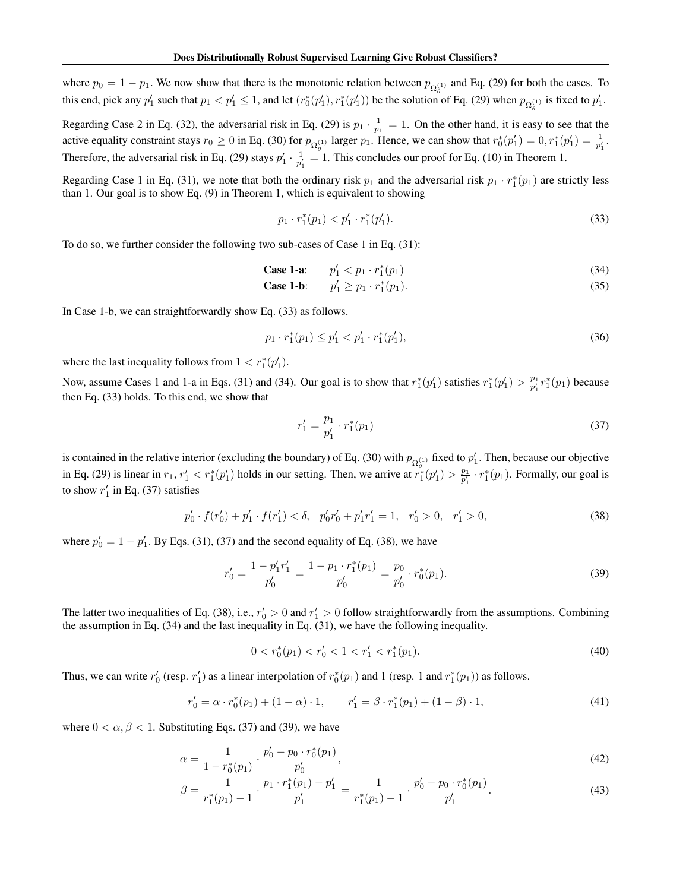where  $p_0 = 1 - p_1$ . We now show that there is the monotonic relation between  $p_{\Omega_q^{(1)}}$  and Eq. (29) for both the cases. To this end, pick any  $p'_1$  such that  $p_1 < p'_1 \leq 1$ , and let  $(r_0^*(p'_1), r_1^*(p'_1))$  be the solution of Eq. (29) when  $p_{\Omega_{\theta}^{(1)}}$  is fixed to  $p'_1$ .

Regarding Case 2 in Eq. (32), the adversarial risk in Eq. (29) is  $p_1 \cdot \frac{1}{p_1} = 1$ . On the other hand, it is easy to see that the active equality constraint stays  $r_0 \ge 0$  in Eq. (30) for  $p_{\Omega_{\theta}^{(1)}}$  larger  $p_1$ . Hence, we can show that  $r_0^*(p'_1) = 0, r_1^*(p'_1) = \frac{1}{p'_1}$ . Therefore, the adversarial risk in Eq. (29) stays  $p'_1 \cdot \frac{1}{p'_1} = 1$ . This concludes our proof for Eq. (10) in Theorem 1.

Regarding Case 1 in Eq. (31), we note that both the ordinary risk  $p_1$  and the adversarial risk  $p_1 \cdot r_1^*(p_1)$  are strictly less than 1. Our goal is to show Eq. (9) in Theorem 1, which is equivalent to showing

$$
p_1 \cdot r_1^*(p_1) < p_1' \cdot r_1^*(p_1').\tag{33}
$$

To do so, we further consider the following two sub-cases of Case 1 in Eq. (31):

Case 1-a: 
$$
p'_1 < p_1 \cdot r_1^*(p_1)
$$
 (34)

**Case 1-b:**  $p'_1 \geq p_1 \cdot r_1^*$  $\binom{1}{1}(p_1).$  (35)

In Case 1-b, we can straightforwardly show Eq. (33) as follows.

$$
p_1 \cdot r_1^*(p_1) \le p_1' < p_1' \cdot r_1^*(p_1'),\tag{36}
$$

where the last inequality follows from  $1 < r_1^*(p_1')$ *.* 

Now, assume Cases 1 and 1-a in Eqs. (31) and (34). Our goal is to show that  $r_1^*(p'_1)$  satisfies  $r_1^*(p'_1) > \frac{p_1}{p'_1} r_1^*(p_1)$  because then Eq. (33) holds. To this end, we show that

$$
r_1' = \frac{p_1}{p_1'} \cdot r_1^*(p_1) \tag{37}
$$

is contained in the relative interior (excluding the boundary) of Eq. (30) with  $p_{\Omega_4^{(1)}}$  fixed to  $p'_1$ . Then, because our objective in Eq. (29) is linear in  $r_1$ ,  $r'_1 < r_1^*(p'_1)$  holds in our setting. Then, we arrive at  $r_1^*(p'_1) > \frac{p_1}{p'_1} \cdot r_1^*(p_1)$ . Formally, our goal is to show  $r'_1$  in Eq. (37) satisfies

$$
p'_0 \cdot f(r'_0) + p'_1 \cdot f(r'_1) < \delta, \quad p'_0 r'_0 + p'_1 r'_1 = 1, \quad r'_0 > 0, \quad r'_1 > 0,\tag{38}
$$

where  $p'_0 = 1 - p'_1$ . By Eqs. (31), (37) and the second equality of Eq. (38), we have

$$
r'_0 = \frac{1 - p'_1 r'_1}{p'_0} = \frac{1 - p_1 \cdot r_1^*(p_1)}{p'_0} = \frac{p_0}{p'_0} \cdot r_0^*(p_1).
$$
 (39)

The latter two inequalities of Eq. (38), i.e.,  $r'_0 > 0$  and  $r'_1 > 0$  follow straightforwardly from the assumptions. Combining the assumption in Eq. (34) and the last inequality in Eq. (31), we have the following inequality.

$$
0 < r_0^*(p_1) < r_0' < 1 < r_1' < r_1^*(p_1). \tag{40}
$$

Thus, we can write  $r'_0$  (resp.  $r'_1$ ) as a linear interpolation of  $r_0^*(p_1)$  and 1 (resp. 1 and  $r_1^*(p_1)$ ) as follows.

$$
r'_0 = \alpha \cdot r_0^*(p_1) + (1 - \alpha) \cdot 1, \qquad r'_1 = \beta \cdot r_1^*(p_1) + (1 - \beta) \cdot 1,\tag{41}
$$

where  $0 < \alpha, \beta < 1$ . Substituting Eqs. (37) and (39), we have

$$
\alpha = \frac{1}{1 - r_0^*(p_1)} \cdot \frac{p_0' - p_0 \cdot r_0^*(p_1)}{p_0'},\tag{42}
$$

$$
\beta = \frac{1}{r_1^*(p_1) - 1} \cdot \frac{p_1 \cdot r_1^*(p_1) - p_1'}{p_1'} = \frac{1}{r_1^*(p_1) - 1} \cdot \frac{p_0' - p_0 \cdot r_0^*(p_1)}{p_1'}.
$$
\n(43)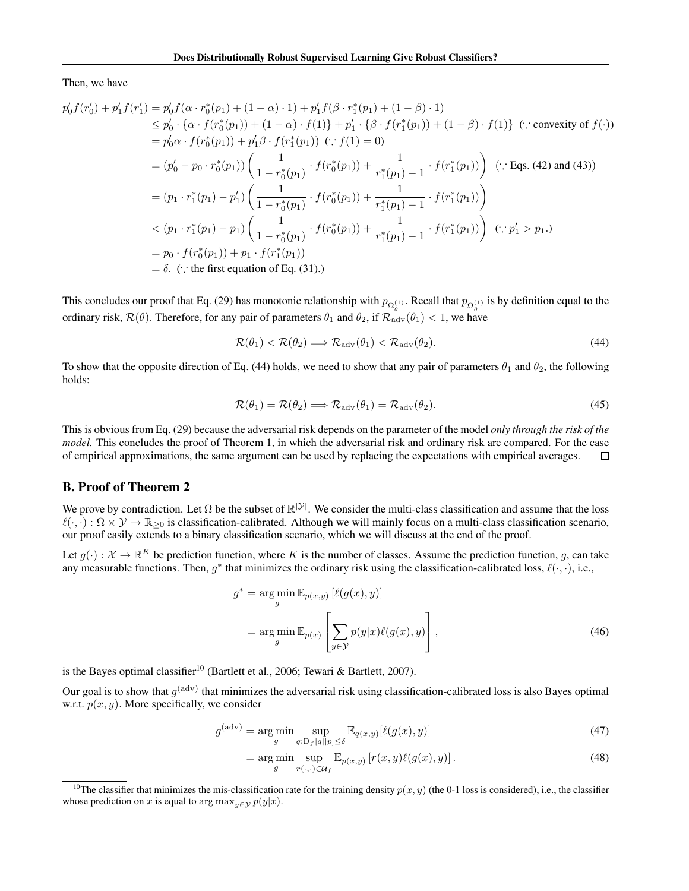Then, we have

$$
p'_{0}f(r'_{0}) + p'_{1}f(r'_{1}) = p'_{0}f(\alpha \cdot r_{0}^{*}(p_{1}) + (1 - \alpha) \cdot 1) + p'_{1}f(\beta \cdot r_{1}^{*}(p_{1}) + (1 - \beta) \cdot 1)
$$
  
\n
$$
\leq p'_{0} \cdot \{\alpha \cdot f(r_{0}^{*}(p_{1})) + (1 - \alpha) \cdot f(1)\} + p'_{1} \cdot \{\beta \cdot f(r_{1}^{*}(p_{1})) + (1 - \beta) \cdot f(1)\} \quad (\because \text{convexity of } f(\cdot))
$$
  
\n
$$
= p'_{0}\alpha \cdot f(r_{0}^{*}(p_{1})) + p'_{1}\beta \cdot f(r_{1}^{*}(p_{1})) \quad (\because f(1) = 0)
$$
  
\n
$$
= (p'_{0} - p_{0} \cdot r_{0}^{*}(p_{1})) \left(\frac{1}{1 - r_{0}^{*}(p_{1})} \cdot f(r_{0}^{*}(p_{1})) + \frac{1}{r_{1}^{*}(p_{1}) - 1} \cdot f(r_{1}^{*}(p_{1}))\right) \quad (\because \text{Eqs. (42) and (43))}
$$
  
\n
$$
= (p_{1} \cdot r_{1}^{*}(p_{1}) - p'_{1}) \left(\frac{1}{1 - r_{0}^{*}(p_{1})} \cdot f(r_{0}^{*}(p_{1})) + \frac{1}{r_{1}^{*}(p_{1}) - 1} \cdot f(r_{1}^{*}(p_{1}))\right)
$$
  
\n
$$
< (p_{1} \cdot r_{1}^{*}(p_{1}) - p_{1}) \left(\frac{1}{1 - r_{0}^{*}(p_{1})} \cdot f(r_{0}^{*}(p_{1})) + \frac{1}{r_{1}^{*}(p_{1}) - 1} \cdot f(r_{1}^{*}(p_{1}))\right) \quad (\because p'_{1} > p_{1}.)
$$
  
\n
$$
= p_{0} \cdot f(r_{0}^{*}(p_{1})) + p_{1} \cdot f(r_{1}^{*}(p_{1}))
$$
  
\n
$$
= \delta. \quad (\because \text{ the first equation of Eq. (31).})
$$

This concludes our proof that Eq. (29) has monotonic relationship with  $p_{\Omega_{\theta}^{(1)}}$ . Recall that  $p_{\Omega_{\theta}^{(1)}}$  is by definition equal to the ordinary risk,  $\mathcal{R}(\theta)$ . Therefore, for any pair of parameters  $\theta_1$  and  $\theta_2$ , if  $\mathcal{R}_{\text{adv}}(\theta_1) < 1$ , we have

$$
\mathcal{R}(\theta_1) < \mathcal{R}(\theta_2) \Longrightarrow \mathcal{R}_{\text{adv}}(\theta_1) < \mathcal{R}_{\text{adv}}(\theta_2). \tag{44}
$$

To show that the opposite direction of Eq. (44) holds, we need to show that any pair of parameters  $\theta_1$  and  $\theta_2$ , the following holds:

$$
\mathcal{R}(\theta_1) = \mathcal{R}(\theta_2) \Longrightarrow \mathcal{R}_{\text{adv}}(\theta_1) = \mathcal{R}_{\text{adv}}(\theta_2). \tag{45}
$$

This is obvious from Eq. (29) because the adversarial risk depends on the parameter of the model *only through the risk of the model*. This concludes the proof of Theorem 1, in which the adversarial risk and ordinary risk are compared. For the case of empirical approximations, the same argument can be used by replacing the expectations with empirical averages.  $\Box$ 

## B. Proof of Theorem 2

We prove by contradiction. Let  $\Omega$  be the subset of  $\mathbb{R}^{|\mathcal{Y}|}$ . We consider the multi-class classification and assume that the loss  $\ell(\cdot, \cdot): \Omega \times \mathcal{Y} \to \mathbb{R}_{\geq 0}$  is classification-calibrated. Although we will mainly focus on a multi-class classification scenario, our proof easily extends to a binary classification scenario, which we will discuss at the end of the proof.

Let  $q(\cdot): \mathcal{X} \to \mathbb{R}^K$  be prediction function, where K is the number of classes. Assume the prediction function, q, can take any measurable functions. Then, *g*<sup>∗</sup> that minimizes the ordinary risk using the classification-calibrated loss, ℓ(*·, ·*), i.e.,

$$
g^* = \underset{g}{\arg\min} \mathbb{E}_{p(x,y)} \left[ \ell(g(x), y) \right]
$$

$$
= \underset{g}{\arg\min} \mathbb{E}_{p(x)} \left[ \sum_{y \in \mathcal{Y}} p(y|x) \ell(g(x), y) \right], \tag{46}
$$

is the Bayes optimal classifier<sup>10</sup> (Bartlett et al., 2006; Tewari & Bartlett, 2007).

Our goal is to show that  $g^{(adv)}$  that minimizes the adversarial risk using classification-calibrated loss is also Bayes optimal w.r.t.  $p(x, y)$ . More specifically, we consider

$$
g^{(\text{adv})} = \underset{g}{\text{arg min}} \sup_{q: \mathcal{D}_f[q||p] \le \delta} \mathbb{E}_{q(x,y)}[\ell(g(x), y)] \tag{47}
$$

$$
= \underset{g}{\arg\min} \underset{r(\cdot,\cdot)\in\mathcal{U}_f}{\sup} \mathbb{E}_{p(x,y)} \left[ r(x,y)\ell(g(x),y) \right]. \tag{48}
$$

<sup>&</sup>lt;sup>10</sup>The classifier that minimizes the mis-classification rate for the training density  $p(x, y)$  (the 0-1 loss is considered), i.e., the classifier whose prediction on *x* is equal to arg  $\max_{y \in \mathcal{Y}} p(y|x)$ .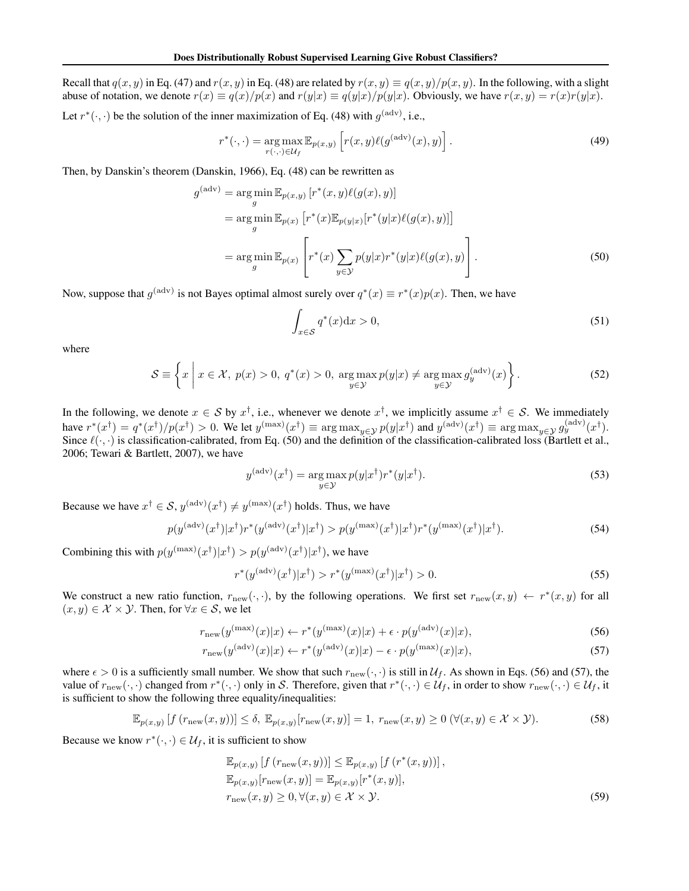Recall that  $q(x, y)$  in Eq. (47) and  $r(x, y)$  in Eq. (48) are related by  $r(x, y) \equiv q(x, y)/p(x, y)$ . In the following, with a slight abuse of notation, we denote  $r(x) \equiv q(x)/p(x)$  and  $r(y|x) \equiv q(y|x)/p(y|x)$ . Obviously, we have  $r(x, y) = r(x)r(y|x)$ .

Let  $r^*(\cdot, \cdot)$  be the solution of the inner maximization of Eq. (48) with  $g^{\text{(adv)}}$ , i.e.,

$$
r^*(\cdot, \cdot) = \underset{r(\cdot, \cdot) \in \mathcal{U}_f}{\arg \max} \mathbb{E}_{p(x,y)} \left[ r(x,y) \ell(g^{(\text{adv})}(x), y) \right]. \tag{49}
$$

Then, by Danskin's theorem (Danskin, 1966), Eq. (48) can be rewritten as

$$
g^{(\text{adv})} = \underset{g}{\arg\min} \mathbb{E}_{p(x,y)} \left[ r^*(x,y)\ell(g(x),y) \right]
$$
  
\n
$$
= \underset{g}{\arg\min} \mathbb{E}_{p(x)} \left[ r^*(x)\mathbb{E}_{p(y|x)}[r^*(y|x)\ell(g(x),y)] \right]
$$
  
\n
$$
= \underset{g}{\arg\min} \mathbb{E}_{p(x)} \left[ r^*(x) \sum_{y \in \mathcal{Y}} p(y|x)r^*(y|x)\ell(g(x),y) \right].
$$
 (50)

Now, suppose that  $g^{(\text{adv})}$  is not Bayes optimal almost surely over  $q^*(x) \equiv r^*(x)p(x)$ . Then, we have

$$
\int_{x \in \mathcal{S}} q^*(x) dx > 0,\tag{51}
$$

where

$$
S \equiv \left\{ x \mid x \in \mathcal{X}, \ p(x) > 0, \ q^*(x) > 0, \ \underset{y \in \mathcal{Y}}{\arg \max} \ p(y|x) \neq \underset{y \in \mathcal{Y}}{\arg \max} \ g_y^{\text{(adv)}}(x) \right\}. \tag{52}
$$

In the following, we denote *x* ∈ *S* by  $x^{\dagger}$ , i.e., whenever we denote  $x^{\dagger}$ , we implicitly assume  $x^{\dagger}$  ∈ *S*. We immediately have  $r^*(x^{\dagger}) = q^*(x^{\dagger})/p(x^{\dagger}) > 0$ . We let  $y^{(\text{max})}(x^{\dagger}) \equiv \arg \max_{y \in \mathcal{Y}} p(y|x^{\dagger})$  and  $y^{(\text{adv})}(x^{\dagger}) \equiv \arg \max_{y \in \mathcal{Y}} g_y^{(\text{adv})}(x^{\dagger})$ . Since  $\ell(\cdot, \cdot)$  is classification-calibrated, from Eq. (50) and the definition of the classification-calibrated loss (Bartlett et al., 2006; Tewari & Bartlett, 2007), we have

$$
y^{(\text{adv})}(x^{\dagger}) = \underset{y \in \mathcal{Y}}{\arg \max} \, p(y|x^{\dagger}) r^*(y|x^{\dagger}). \tag{53}
$$

Because we have  $x^{\dagger} \in S$ ,  $y^{(\text{adv})}(x^{\dagger}) \neq y^{(\text{max})}(x^{\dagger})$  holds. Thus, we have

$$
p(y^{(\text{adv})}(x^{\dagger})|x^{\dagger})r^*(y^{(\text{adv})}(x^{\dagger})|x^{\dagger}) > p(y^{(\text{max})}(x^{\dagger})|x^{\dagger})r^*(y^{(\text{max})}(x^{\dagger})|x^{\dagger}).
$$
\n(54)

Combining this with  $p(y^{(\text{max})}(x^{\dagger})|x^{\dagger}) > p(y^{(\text{adv})}(x^{\dagger})|x^{\dagger})$ , we have

$$
r^*(y^{(\text{adv})}(x^{\dagger})|x^{\dagger}) > r^*(y^{(\text{max})}(x^{\dagger})|x^{\dagger}) > 0.
$$
 (55)

We construct a new ratio function,  $r_{\text{new}}(\cdot, \cdot)$ , by the following operations. We first set  $r_{\text{new}}(x, y) \leftarrow r^*(x, y)$  for all  $(x, y) \in \mathcal{X} \times \mathcal{Y}$ . Then, for  $\forall x \in \mathcal{S}$ , we let

$$
r_{\text{new}}(y^{(\text{max})}(x)|x) \leftarrow r^*(y^{(\text{max})}(x)|x) + \epsilon \cdot p(y^{(\text{adv})}(x)|x),\tag{56}
$$

$$
r_{\text{new}}(y^{(\text{adv})}(x)|x) \leftarrow r^*(y^{(\text{adv})}(x)|x) - \epsilon \cdot p(y^{(\text{max})}(x)|x),\tag{57}
$$

where  $\epsilon > 0$  is a sufficiently small number. We show that such  $r_{\text{new}}(\cdot, \cdot)$  is still in  $\mathcal{U}_f$ . As shown in Eqs. (56) and (57), the value of  $r_{\text{new}}(\cdot, \cdot)$  changed from  $r^*(\cdot, \cdot)$  only in S. Therefore, given that  $r^*(\cdot, \cdot) \in \mathcal{U}_f$ , in order to show  $r_{\text{new}}(\cdot, \cdot) \in \mathcal{U}_f$ , it is sufficient to show the following three equality/inequalities:

$$
\mathbb{E}_{p(x,y)}\left[f\left(r_{\text{new}}(x,y)\right)\right] \leq \delta, \ \mathbb{E}_{p(x,y)}\left[r_{\text{new}}(x,y)\right] = 1, \ r_{\text{new}}(x,y) \geq 0 \ (\forall (x,y) \in \mathcal{X} \times \mathcal{Y}).\tag{58}
$$

Because we know  $r^*(\cdot, \cdot) \in \mathcal{U}_f$ , it is sufficient to show

$$
\mathbb{E}_{p(x,y)}[f(r_{\text{new}}(x,y))] \leq \mathbb{E}_{p(x,y)}[f(r^*(x,y))],
$$
  
\n
$$
\mathbb{E}_{p(x,y)}[r_{\text{new}}(x,y)] = \mathbb{E}_{p(x,y)}[r^*(x,y)],
$$
  
\n
$$
r_{\text{new}}(x,y) \geq 0, \forall (x,y) \in \mathcal{X} \times \mathcal{Y}.
$$
\n(59)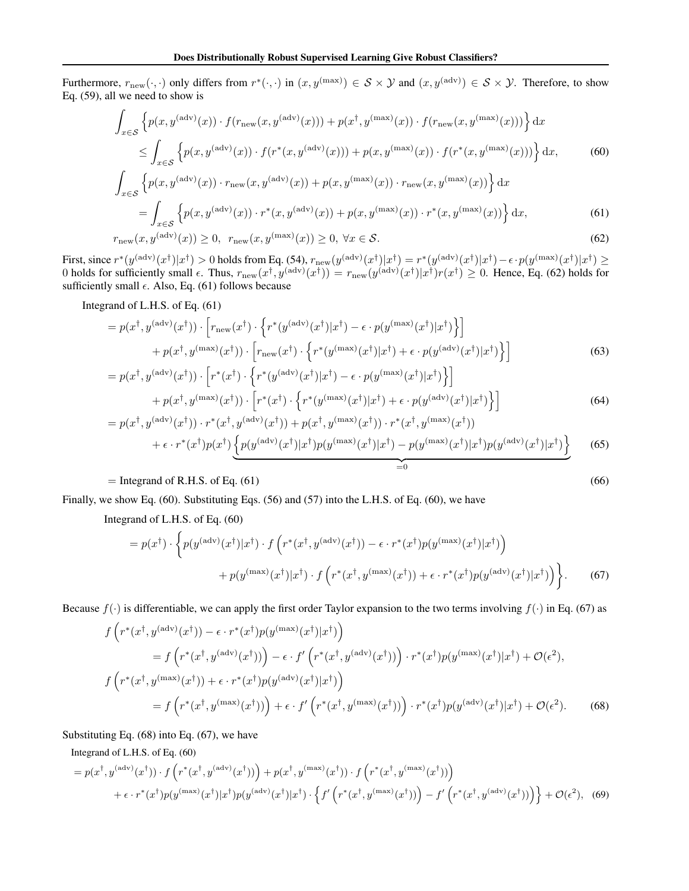Furthermore,  $r_{\text{new}}(\cdot, \cdot)$  only differs from  $r^*(\cdot, \cdot)$  in  $(x, y^{(\text{max})}) \in S \times Y$  and  $(x, y^{(\text{adv})}) \in S \times Y$ . Therefore, to show Eq. (59), all we need to show is

$$
\int_{x \in S} \left\{ p(x, y^{(\text{adv})}(x)) \cdot f(r_{\text{new}}(x, y^{(\text{adv})}(x))) + p(x^{\dagger}, y^{(\text{max})}(x)) \cdot f(r_{\text{new}}(x, y^{(\text{max})}(x))) \right\} dx
$$
\n
$$
\leq \int_{x \in S} \left\{ p(x, y^{(\text{adv})}(x)) \cdot f(r^*(x, y^{(\text{adv})}(x))) + p(x, y^{(\text{max})}(x)) \cdot f(r^*(x, y^{(\text{max})}(x))) \right\} dx,
$$
\n(60)

$$
\int_{x \in \mathcal{S}} \left\{ p(x, y^{(\text{adv})}(x)) \cdot r_{\text{new}}(x, y^{(\text{adv})}(x)) + p(x, y^{(\text{max})}(x)) \cdot r_{\text{new}}(x, y^{(\text{max})}(x)) \right\} dx
$$
\n
$$
= \int_{x \in \mathcal{S}} \left\{ p(x, y^{(\text{adv})}(x)) \cdot r^*(x, y^{(\text{adv})}(x)) + p(x, y^{(\text{max})}(x)) \cdot r^*(x, y^{(\text{max})}(x)) \right\} dx,
$$
\n
$$
r_{\text{new}}(x, y^{(\text{adv})}(x)) \ge 0, \ r_{\text{new}}(x, y^{(\text{max})}(x)) \ge 0, \ \forall x \in \mathcal{S}.
$$
\n
$$
(62)
$$

First, since  $r^*(y^{(\text{adv})}(x^{\dagger})|x^{\dagger}) > 0$  holds from Eq. (54),  $r_{\text{new}}(y^{(\text{adv})}(x^{\dagger})|x^{\dagger}) = r^*(y^{(\text{adv})}(x^{\dagger})|x^{\dagger}) - \epsilon \cdot p(y^{(\text{max})}(x^{\dagger})|x^{\dagger}) \ge$ 0 holds for sufficiently small  $\epsilon$ . Thus,  $r_{\text{new}}(x^{\dagger}, y^{(\text{adv})}(x^{\dagger})) = r_{\text{new}}(y^{(\text{adv})}(x^{\dagger})|x^{\dagger})r(x^{\dagger}) \ge 0$ . Hence, Eq. (62) holds for sufficiently small  $\epsilon$ . Also, Eq. (61) follows because

Integrand of L.H.S. of Eq. (61)

$$
=p(x^{\dagger}, y^{(\text{adv})}(x^{\dagger})) \cdot \left[r_{\text{new}}(x^{\dagger}) \cdot \left\{r^{*}(y^{(\text{adv})}(x^{\dagger})|x^{\dagger}) - \epsilon \cdot p(y^{(\text{max})}(x^{\dagger})|x^{\dagger})\right\}\right] + p(x^{\dagger}, y^{(\text{max})}(x^{\dagger})) \cdot \left[r_{\text{new}}(x^{\dagger}) \cdot \left\{r^{*}(y^{(\text{max})}(x^{\dagger})|x^{\dagger}) + \epsilon \cdot p(y^{(\text{adv})}(x^{\dagger})|x^{\dagger})\right\}\right] = p(x^{\dagger}, y^{(\text{adv})}(x^{\dagger})) \cdot \left[r^{*}(x^{\dagger}) \cdot \left\{r^{*}(y^{(\text{adv})}(x^{\dagger})|x^{\dagger}) - \epsilon \cdot p(y^{(\text{max})}(x^{\dagger})|x^{\dagger})\right\}\right]
$$
(63)

$$
+ p(x^{\dagger}, y^{(\max)}(x^{\dagger})) \cdot \left[ r^*(x^{\dagger}) \cdot \left\{ r^*(y^{(\max)}(x^{\dagger}) | x^{\dagger}) + \epsilon \cdot p(y^{(\text{adv})}(x^{\dagger}) | x^{\dagger}) \right\} \right]
$$
(64)

$$
= p(x^{\dagger}, y^{(\text{adv})}(x^{\dagger})) \cdot r^*(x^{\dagger}, y^{(\text{adv})}(x^{\dagger})) + p(x^{\dagger}, y^{(\text{max})}(x^{\dagger})) \cdot r^*(x^{\dagger}, y^{(\text{max})}(x^{\dagger})) + \epsilon \cdot r^*(x^{\dagger})p(x^{\dagger}) \underbrace{\left\{ p(y^{(\text{adv})}(x^{\dagger})|x^{\dagger})p(y^{(\text{max})}(x^{\dagger})|x^{\dagger}) - p(y^{(\text{max})}(x^{\dagger})|x^{\dagger})p(y^{(\text{adv})}(x^{\dagger})|x^{\dagger}) \right\}}_{=0}
$$
(65)

## $=$  Integrand of R.H.S. of Eq. (61) (66)

$$
(66)
$$

Finally, we show Eq. (60). Substituting Eqs. (56) and (57) into the L.H.S. of Eq. (60), we have

Integrand of L.H.S. of Eq. (60)

$$
= p(x^{\dagger}) \cdot \left\{ p(y^{(\text{adv})}(x^{\dagger}) | x^{\dagger}) \cdot f\left(r^*(x^{\dagger}, y^{(\text{adv})}(x^{\dagger})) - \epsilon \cdot r^*(x^{\dagger}) p(y^{(\text{max})}(x^{\dagger}) | x^{\dagger})\right) \right. \\
\left. + p(y^{(\text{max})}(x^{\dagger}) | x^{\dagger}) \cdot f\left(r^*(x^{\dagger}, y^{(\text{max})}(x^{\dagger})) + \epsilon \cdot r^*(x^{\dagger}) p(y^{(\text{adv})}(x^{\dagger}) | x^{\dagger})\right) \right\}.
$$
\n(67)

Because  $f(\cdot)$  is differentiable, we can apply the first order Taylor expansion to the two terms involving  $f(\cdot)$  in Eq. (67) as

$$
f\left(r^*(x^{\dagger}, y^{(\text{adv})}(x^{\dagger})) - \epsilon \cdot r^*(x^{\dagger})p(y^{(\text{max})}(x^{\dagger})|x^{\dagger})\right)
$$
  
\n
$$
= f\left(r^*(x^{\dagger}, y^{(\text{adv})}(x^{\dagger}))\right) - \epsilon \cdot f'\left(r^*(x^{\dagger}, y^{(\text{adv})}(x^{\dagger}))\right) \cdot r^*(x^{\dagger})p(y^{(\text{max})}(x^{\dagger})|x^{\dagger}) + \mathcal{O}(\epsilon^2),
$$
  
\n
$$
f\left(r^*(x^{\dagger}, y^{(\text{max})}(x^{\dagger})) + \epsilon \cdot r^*(x^{\dagger})p(y^{(\text{adv})}(x^{\dagger})|x^{\dagger})\right)
$$
  
\n
$$
= f\left(r^*(x^{\dagger}, y^{(\text{max})}(x^{\dagger}))\right) + \epsilon \cdot f'\left(r^*(x^{\dagger}, y^{(\text{max})}(x^{\dagger}))\right) \cdot r^*(x^{\dagger})p(y^{(\text{adv})}(x^{\dagger})|x^{\dagger}) + \mathcal{O}(\epsilon^2).
$$
 (68)

Substituting Eq. (68) into Eq. (67), we have

Integrand of L.H.S. of Eq. (60)

$$
=p(x^{\dagger},y^{(\text{adv})}(x^{\dagger})) \cdot f\left(r^{*}(x^{\dagger},y^{(\text{adv})}(x^{\dagger}))\right)+p(x^{\dagger},y^{(\text{max})}(x^{\dagger})) \cdot f\left(r^{*}(x^{\dagger},y^{(\text{max})}(x^{\dagger}))\right) + \epsilon \cdot r^{*}(x^{\dagger})p(y^{(\text{max})}(x^{\dagger})|x^{\dagger})p(y^{(\text{adv})}(x^{\dagger})|x^{\dagger}) \cdot \left\{f'\left(r^{*}(x^{\dagger},y^{(\text{max})}(x^{\dagger}))\right)-f'\left(r^{*}(x^{\dagger},y^{(\text{adv})}(x^{\dagger}))\right)\right\} + \mathcal{O}(\epsilon^{2}), \quad (69)
$$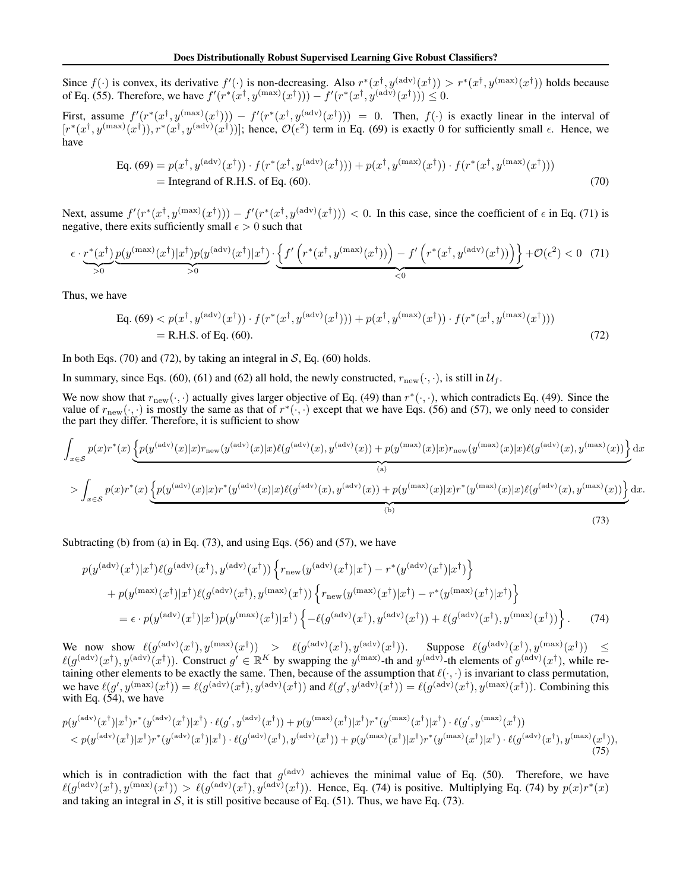Since  $f(\cdot)$  is convex, its derivative  $f'(\cdot)$  is non-decreasing. Also  $r^*(x^{\dagger}, y^{(\text{adv})}(x^{\dagger})) > r^*(x^{\dagger}, y^{(\text{max})}(x^{\dagger}))$  holds because of Eq. (55). Therefore, we have  $f'(r^*(x^{\dagger}, y^{(\text{max})}(x^{\dagger}))) - f'(r^*(x^{\dagger}, y^{(\text{adv})}(x^{\dagger}))) \leq 0.$ 

First, assume  $f'(r^*(x^{\dagger}, y^{(\max)}(x^{\dagger}))) - f'(r^*(x^{\dagger}, y^{(\text{adv})}(x^{\dagger}))) = 0$ . Then,  $f(\cdot)$  is exactly linear in the interval of  $[r^*(x^{\dagger}, y^{(\text{max})}(x^{\dagger})), r^*(x^{\dagger}, y^{(\text{adv})}(x^{\dagger}))]$ ; hence,  $\mathcal{O}(\epsilon^2)$  term in Eq. (69) is exactly 0 for sufficiently small  $\epsilon$ . Hence, we have

Eq. (69) = 
$$
p(x^{\dagger}, y^{(\text{adv})}(x^{\dagger})) \cdot f(r^*(x^{\dagger}, y^{(\text{adv})}(x^{\dagger}))) + p(x^{\dagger}, y^{(\text{max})}(x^{\dagger})) \cdot f(r^*(x^{\dagger}, y^{(\text{max})}(x^{\dagger})))
$$
  
= Integral of R.H.S. of Eq. (60). (70)

Next, assume  $f'(r^*(x^{\dagger}, y^{(\max)}(x^{\dagger}))) - f'(r^*(x^{\dagger}, y^{(\text{adv})}(x^{\dagger}))) < 0$ . In this case, since the coefficient of  $\epsilon$  in Eq. (71) is negative, there exits sufficiently small  $\epsilon > 0$  such that

$$
\epsilon \cdot \underbrace{r^*(x^\dagger)}_{>0} \underbrace{p(y^{(\max)}(x^\dagger)|x^\dagger)p(y^{(\text{adv})}(x^\dagger)|x^\dagger)}_{>0} \cdot \underbrace{\left\{f'\left(r^*(x^\dagger, y^{(\text{max})}(x^\dagger))\right) - f'\left(r^*(x^\dagger, y^{(\text{adv})}(x^\dagger))\right)\right\}}_{<0} + \mathcal{O}(\epsilon^2) < 0 \quad (71)
$$

Thus, we have

Eq. (69) 
$$
p(x^{\dagger}, y^{(\text{adv})}(x^{\dagger})) \cdot f(r^{*}(x^{\dagger}, y^{(\text{adv})}(x^{\dagger}))) + p(x^{\dagger}, y^{(\text{max})}(x^{\dagger})) \cdot f(r^{*}(x^{\dagger}, y^{(\text{max})}(x^{\dagger})))
$$
  
= R.H.S. of Eq. (60). (72)

In both Eqs. (70) and (72), by taking an integral in  $S$ , Eq. (60) holds.

In summary, since Eqs. (60), (61) and (62) all hold, the newly constructed,  $r_{\text{new}}(\cdot, \cdot)$ , is still in  $\mathcal{U}_f$ .

We now show that  $r_{\text{new}}(\cdot, \cdot)$  actually gives larger objective of Eq. (49) than  $r^*(\cdot, \cdot)$ , which contradicts Eq. (49). Since the value of  $r_{\text{new}}(\cdot, \cdot)$  is mostly the same as that of  $r^*(\cdot, \cdot)$  except that we have Eqs. (56) and (57), we only need to consider the part they differ. Therefore, it is sufficient to show

$$
\int_{x \in S} p(x)r^*(x) \underbrace{\left\{ p(y^{(\text{adv})}(x)|x)r_{\text{new}}(y^{(\text{adv})}(x)|x)\ell(g^{(\text{adv})}(x), y^{(\text{adv})}(x)) + p(y^{(\text{max})}(x)|x)r_{\text{new}}(y^{(\text{max})}(x)|x)\ell(g^{(\text{adv})}(x), y^{(\text{max})}(x)) \right\}}_{(a)} dx
$$
\n
$$
> \int_{x \in S} p(x)r^*(x) \underbrace{\left\{ p(y^{(\text{adv})}(x)|x)r^*(y^{(\text{adv})}(x)|x)\ell(g^{(\text{adv})}(x), y^{(\text{adv})}(x)) + p(y^{(\text{max})}(x)|x)r^*(y^{(\text{max})}(x)|x)\ell(g^{(\text{adv})}(x), y^{(\text{max})}(x)) \right\}}_{(b)} dx.
$$
\n(73)

Subtracting (b) from (a) in Eq. (73), and using Eqs. (56) and (57), we have

$$
p(y^{(\text{adv})}(x^{\dagger})|x^{\dagger})\ell(g^{(\text{adv})}(x^{\dagger}), y^{(\text{adv})}(x^{\dagger})) \left\{ r_{\text{new}}(y^{(\text{adv})}(x^{\dagger})|x^{\dagger}) - r^{*}(y^{(\text{adv})}(x^{\dagger})|x^{\dagger}) \right\} + p(y^{(\text{max})}(x^{\dagger})|x^{\dagger})\ell(g^{(\text{adv})}(x^{\dagger}), y^{(\text{max})}(x^{\dagger})) \left\{ r_{\text{new}}(y^{(\text{max})}(x^{\dagger})|x^{\dagger}) - r^{*}(y^{(\text{max})}(x^{\dagger})|x^{\dagger}) \right\} = \epsilon \cdot p(y^{(\text{adv})}(x^{\dagger})|x^{\dagger})p(y^{(\text{max})}(x^{\dagger})|x^{\dagger}) \left\{ -\ell(g^{(\text{adv})}(x^{\dagger}), y^{(\text{adv})}(x^{\dagger})) + \ell(g^{(\text{adv})}(x^{\dagger}), y^{(\text{max})}(x^{\dagger})) \right\}. (74)
$$

 $\text{We now show}~~\ell(g^{(\text{adv})}(x^{\dagger}),y^{(\text{max})}(x^{\dagger}))~~>~~\ell(g^{(\text{adv})}(x^{\dagger}),y^{(\text{adv})}(x^{\dagger})).~~\text{ Suppose }~\ell(g^{(\text{adv})}(x^{\dagger}),y^{(\text{max})}(x^{\dagger}))~~\leq~\ell(g^{(\text{adv})}(x^{\dagger}),y^{(\text{max})}(x^{\dagger}))~~\leq~\ell(g^{(\text{adv})}(x^{\dagger}),y^{(\text{max})}(x^{\dagger}))~~\leq~\ell(g^{(\text{adv})}(x^{\dagger}),y^{(\text{max})}(x^{\dagger}))~~\leq~\$  $\ell(g^{(\text{adv})}(x^{\dagger}), y^{(\text{adv})}(x^{\dagger}))$ . Construct  $g' \in \mathbb{R}^K$  by swapping the  $y^{(\text{max})}$ -th and  $y^{(\text{adv})}$ -th elements of  $g^{(\text{adv})}(x^{\dagger})$ , while retaining other elements to be exactly the same. Then, because of the assumption that  $\ell(\cdot, \cdot)$  is invariant to class permutation, we have  $\ell(g', y^{(\max)}(x^{\dagger})) = \ell(g^{(\text{adv})}(x^{\dagger}), y^{(\text{adv})}(x^{\dagger}))$  and  $\ell(g', y^{(\text{adv})}(x^{\dagger})) = \ell(g^{(\text{adv})}(x^{\dagger}), y^{(\text{max})}(x^{\dagger}))$ . Combining this with Eq.  $(54)$ , we have

$$
p(y^{(\text{adv})}(x^{\dagger})|x^{\dagger})r^{*}(y^{(\text{adv})}(x^{\dagger})|x^{\dagger}) \cdot \ell(g', y^{(\text{adv})}(x^{\dagger})) + p(y^{(\text{max})}(x^{\dagger})|x^{\dagger})r^{*}(y^{(\text{max})}(x^{\dagger})|x^{\dagger}) \cdot \ell(g', y^{(\text{max})}(x^{\dagger}))
$$
  

$$
< p(y^{(\text{adv})}(x^{\dagger})|x^{\dagger})r^{*}(y^{(\text{adv})}(x^{\dagger})|x^{\dagger}) \cdot \ell(g^{(\text{adv})}(x^{\dagger}), y^{(\text{adv})}(x^{\dagger})) + p(y^{(\text{max})}(x^{\dagger})|x^{\dagger})r^{*}(y^{(\text{max})}(x^{\dagger})|x^{\dagger}) \cdot \ell(g^{(\text{adv})}(x^{\dagger}), y^{(\text{max})}(x^{\dagger})),
$$
(75)

which is in contradiction with the fact that  $g^{(adv)}$  achieves the minimal value of Eq. (50). Therefore, we have  $\ell(g^{(\text{adv})}(x^{\dagger}), y^{(\text{max})}(x^{\dagger})) > \ell(g^{(\text{adv})}(x^{\dagger}), y^{(\text{adv})}(x^{\dagger})).$  Hence, Eq. (74) is positive. Multiplying Eq. (74) by  $p(x)r^{*}(x)$ and taking an integral in  $S$ , it is still positive because of Eq. (51). Thus, we have Eq. (73).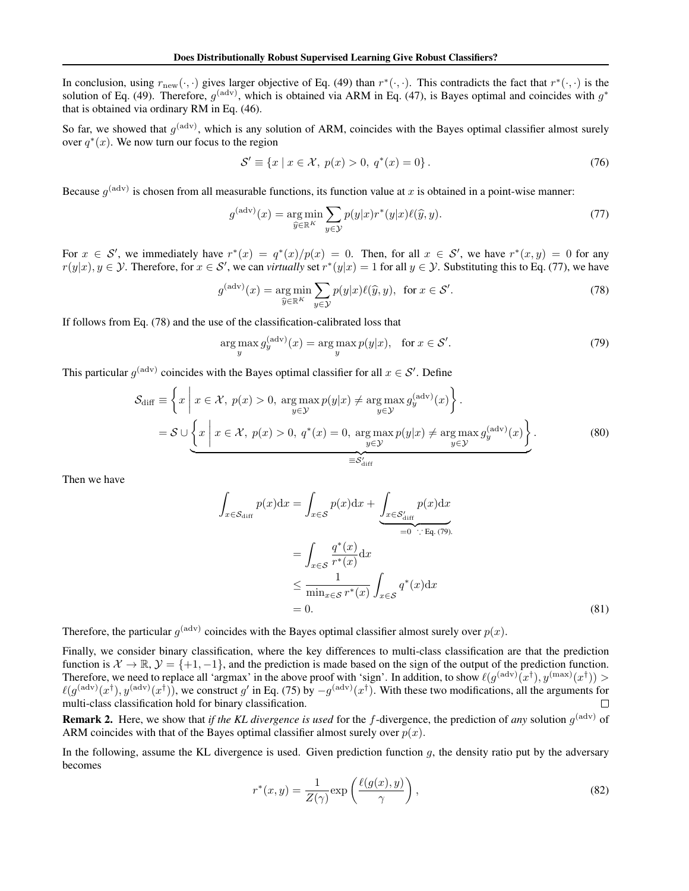In conclusion, using  $r_{\text{new}}(\cdot, \cdot)$  gives larger objective of Eq. (49) than  $r^*(\cdot, \cdot)$ . This contradicts the fact that  $r^*(\cdot, \cdot)$  is the solution of Eq. (49). Therefore,  $g^{(\text{adv})}$ , which is obtained via ARM in Eq. (47), is Bayes optimal and coincides with  $g^*$ that is obtained via ordinary RM in Eq. (46).

So far, we showed that  $g^{(adv)}$ , which is any solution of ARM, coincides with the Bayes optimal classifier almost surely over  $q^*(x)$ . We now turn our focus to the region

$$
S' \equiv \{x \mid x \in \mathcal{X}, \ p(x) > 0, \ q^*(x) = 0\} \,. \tag{76}
$$

Because  $g^{(adv)}$  is chosen from all measurable functions, its function value at *x* is obtained in a point-wise manner:

$$
g^{(\text{adv})}(x) = \underset{\hat{y} \in \mathbb{R}^K}{\arg \min} \sum_{y \in \mathcal{Y}} p(y|x) r^*(y|x) \ell(\hat{y}, y). \tag{77}
$$

For  $x \in S'$ , we immediately have  $r^*(x) = q^*(x)/p(x) = 0$ . Then, for all  $x \in S'$ , we have  $r^*(x, y) = 0$  for any  $r(y|x), y \in Y$ . Therefore, for  $x \in S'$ , we can *virtually* set  $r^*(y|x) = 1$  for all  $y \in Y$ . Substituting this to Eq. (77), we have

$$
g^{(\text{adv})}(x) = \underset{\widehat{y} \in \mathbb{R}^K}{\arg \min} \sum_{y \in \mathcal{Y}} p(y|x) \ell(\widehat{y}, y), \text{ for } x \in \mathcal{S}'. \tag{78}
$$

If follows from Eq. (78) and the use of the classification-calibrated loss that

$$
\arg\max_{y} g_y^{\text{(adv)}}(x) = \arg\max_{y} p(y|x), \quad \text{for } x \in \mathcal{S}'.\tag{79}
$$

This particular  $g^{(\text{adv})}$  coincides with the Bayes optimal classifier for all  $x \in S'$ . Define

$$
\mathcal{S}_{\text{diff}} \equiv \left\{ x \mid x \in \mathcal{X}, \ p(x) > 0, \ \underset{y \in \mathcal{Y}}{\arg \max} \ p(y|x) \neq \underset{y \in \mathcal{Y}}{\arg \max} \ g_y^{\text{(adv)}}(x) \right\}.
$$
\n
$$
= \mathcal{S} \cup \left\{ x \mid x \in \mathcal{X}, \ p(x) > 0, \ q^*(x) = 0, \ \underset{y \in \mathcal{Y}}{\arg \max} \ p(y|x) \neq \underset{y \in \mathcal{Y}}{\arg \max} \ g_y^{\text{(adv)}}(x) \right\}.
$$
\n
$$
(80)
$$

Then we have

$$
\int_{x \in \mathcal{S}_{\text{diff}}} p(x) dx = \int_{x \in \mathcal{S}} p(x) dx + \underbrace{\int_{x \in \mathcal{S}'_{\text{diff}}} p(x) dx}_{=0 \quad \therefore \text{ Eq. (79)}} \\
= \int_{x \in \mathcal{S}} \frac{q^*(x)}{r^*(x)} dx \\
\leq \frac{1}{\min_{x \in \mathcal{S}} r^*(x)} \int_{x \in \mathcal{S}} q^*(x) dx \\
= 0.
$$
\n(81)

Therefore, the particular  $g^{(adv)}$  coincides with the Bayes optimal classifier almost surely over  $p(x)$ .

Finally, we consider binary classification, where the key differences to multi-class classification are that the prediction function is  $X \to \mathbb{R}, Y = \{+1, -1\}$ , and the prediction is made based on the sign of the output of the prediction function. Therefore, we need to replace all 'argmax' in the above proof with 'sign'. In addition, to show  $\ell(g^{(\text{adv})}(x^{\dagger}), y^{(\text{max})}(x^{\dagger}))$  >  $\ell(g^{(\text{adv})}(x^{\dagger}), y^{(\text{adv})}(x^{\dagger}))$ , we construct *g*' in Eq. (75) by −*g*<sup>(adv)</sup>( $x^{\dagger}$ ). With these two modifications, all the arguments for multi-class classification hold for binary classification.

Remark 2. Here, we show that *if the KL divergence is used* for the *f*-divergence, the prediction of *any* solution *g*(adv) of ARM coincides with that of the Bayes optimal classifier almost surely over  $p(x)$ .

In the following, assume the KL divergence is used. Given prediction function *g*, the density ratio put by the adversary becomes

$$
r^*(x,y) = \frac{1}{Z(\gamma)} \exp\left(\frac{\ell(g(x), y)}{\gamma}\right),\tag{82}
$$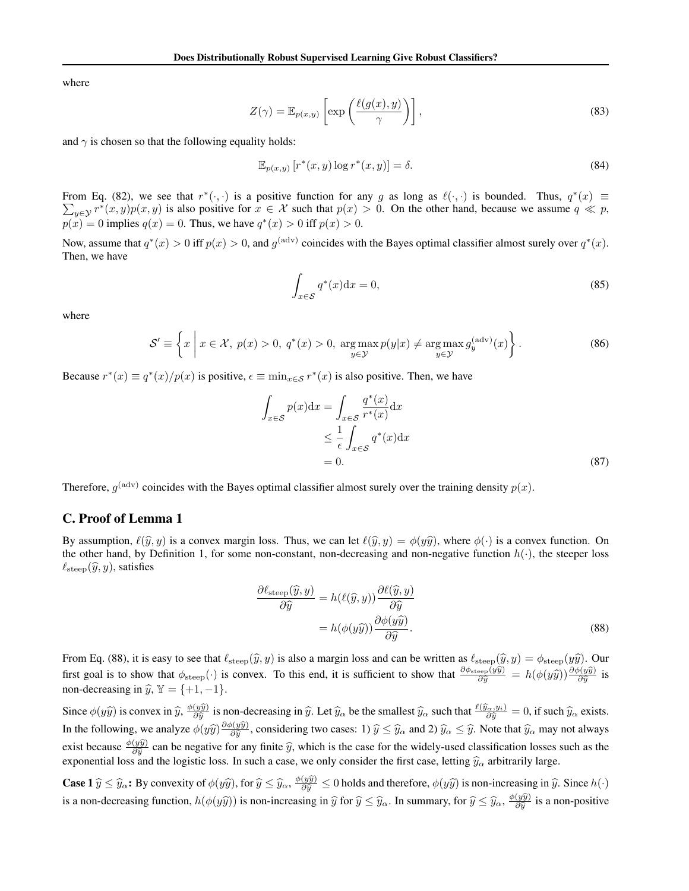where

$$
Z(\gamma) = \mathbb{E}_{p(x,y)} \left[ \exp\left(\frac{\ell(g(x), y)}{\gamma}\right) \right],
$$
\n(83)

and  $\gamma$  is chosen so that the following equality holds:

$$
\mathbb{E}_{p(x,y)}\left[r^*(x,y)\log r^*(x,y)\right] = \delta. \tag{84}
$$

From Eq. (82), we see that  $r^*(\cdot, \cdot)$  is a positive function for any *g* as long as  $\ell(\cdot, \cdot)$  is bounded. Thus,  $q^*(x) \equiv \sum_{x \in \mathcal{N}} r^*(x, y)p(x, y)$  is also positive for  $x \in \mathcal{X}$  such that  $p(x) > 0$ . On the other hand, be  $y \in Y^*(x, y)p(x, y)$  is also positive for  $x \in \mathcal{X}$  such that  $p(x) > 0$ . On the other hand, because we assume  $q \ll p$ , *p*(*x*) = 0 implies *q*(*x*) = 0. Thus, we have  $q^*(x) > 0$  iff  $p(x) > 0$ .

Now, assume that  $q^*(x) > 0$  iff  $p(x) > 0$ , and  $q^{(adv)}$  coincides with the Bayes optimal classifier almost surely over  $q^*(x)$ . Then, we have

$$
\int_{x \in S} q^*(x) dx = 0,\tag{85}
$$

where

$$
\mathcal{S}' \equiv \left\{ x \mid x \in \mathcal{X}, \ p(x) > 0, \ q^*(x) > 0, \ \underset{y \in \mathcal{Y}}{\arg \max} \ p(y|x) \neq \underset{y \in \mathcal{Y}}{\arg \max} \ g_y^{\text{(adv)}}(x) \right\}. \tag{86}
$$

Because  $r^*(x) \equiv q^*(x)/p(x)$  is positive,  $\epsilon \equiv \min_{x \in S} r^*(x)$  is also positive. Then, we have

$$
\int_{x \in S} p(x) dx = \int_{x \in S} \frac{q^*(x)}{r^*(x)} dx
$$
  
\n
$$
\leq \frac{1}{\epsilon} \int_{x \in S} q^*(x) dx
$$
  
\n= 0. (87)

Therefore,  $g^{(adv)}$  coincides with the Bayes optimal classifier almost surely over the training density  $p(x)$ .

#### C. Proof of Lemma 1

By assumption,  $\ell(\hat{y}, y)$  is a convex margin loss. Thus, we can let  $\ell(\hat{y}, y) = \phi(y\hat{y})$ , where  $\phi(\cdot)$  is a convex function. On the other hand, by Definition 1, for some non-constant, non-decreasing and non-negative function  $h(\cdot)$ , the steeper loss  $\ell_{\text{steep}}(\widehat{y}, y)$ , satisfies

$$
\frac{\partial \ell_{\text{steep}}(\hat{y}, y)}{\partial \hat{y}} = h(\ell(\hat{y}, y)) \frac{\partial \ell(\hat{y}, y)}{\partial \hat{y}} \n= h(\phi(y\hat{y})) \frac{\partial \phi(y\hat{y})}{\partial \hat{y}}.
$$
\n(88)

From Eq. (88), it is easy to see that  $\ell_{\text{steep}}(\hat{y}, y)$  is also a margin loss and can be written as  $\ell_{\text{steep}}(\hat{y}, y) = \phi_{\text{steep}}(y\hat{y})$ . Our first goal is to show that  $\phi_{\text{steep}}(\cdot)$  is convex. To this end, it is sufficient to show that  $\frac{\partial \phi_{\text{steep}}(y\hat{y})}{\partial \hat{y}} = h(\phi(y\hat{y})) \frac{\partial \phi(y\hat{y})}{\partial \hat{y}}$  is non-decreasing in  $\hat{y}$ ,  $\mathbb{Y} = \{+1, -1\}.$ 

Since  $\phi(y\hat{y})$  is convex in  $\hat{y}$ ,  $\frac{\phi(y\hat{y})}{\partial \hat{y}}$  is non-decreasing in  $\hat{y}$ . Let  $\hat{y}_{\alpha}$  be the smallest  $\hat{y}_{\alpha}$  such that  $\frac{\ell(\hat{y}_{\alpha}, y_i)}{\partial \hat{y}} = 0$ , if such  $\hat{y}_{\alpha}$  exists. In the following, we analyze  $\phi(y\hat{y})\frac{\partial \phi(y\hat{y})}{\partial \hat{y}}$ , considering two cases: 1)  $\hat{y} \leq \hat{y}$  and 2)  $\hat{y}_\alpha \leq \hat{y}$ . Note that  $\hat{y}_\alpha$  may not always exist because  $\frac{\phi(y\hat{y})}{\partial \hat{y}}$  can be negative for any finite  $\hat{y}$ , which is the case for the widely-used classification losses such as the proportional loss of the location losses such as the exponential loss and the logistic loss. In such a case, we only consider the first case, letting  $\hat{y}_\alpha$  arbitrarily large.

**Case 1**  $\hat{y} \leq \hat{y}_{\alpha}$ : By convexity of  $\phi(y\hat{y})$ , for  $\hat{y} \leq \hat{y}_{\alpha}$ ,  $\frac{\phi(y\hat{y})}{\partial \hat{y}} \leq 0$  holds and therefore,  $\phi(y\hat{y})$  is non-increasing in  $\hat{y}$ . Since  $h(\cdot)$ is a non-decreasing function,  $h(\phi(y\hat{y}))$  is non-increasing in  $\hat{y}$  for  $\hat{y} \le \hat{y}_{\alpha}$ . In summary, for  $\hat{y} \le \hat{y}_{\alpha}$ ,  $\frac{\phi(y\hat{y})}{\partial \hat{y}}$  is a non-positive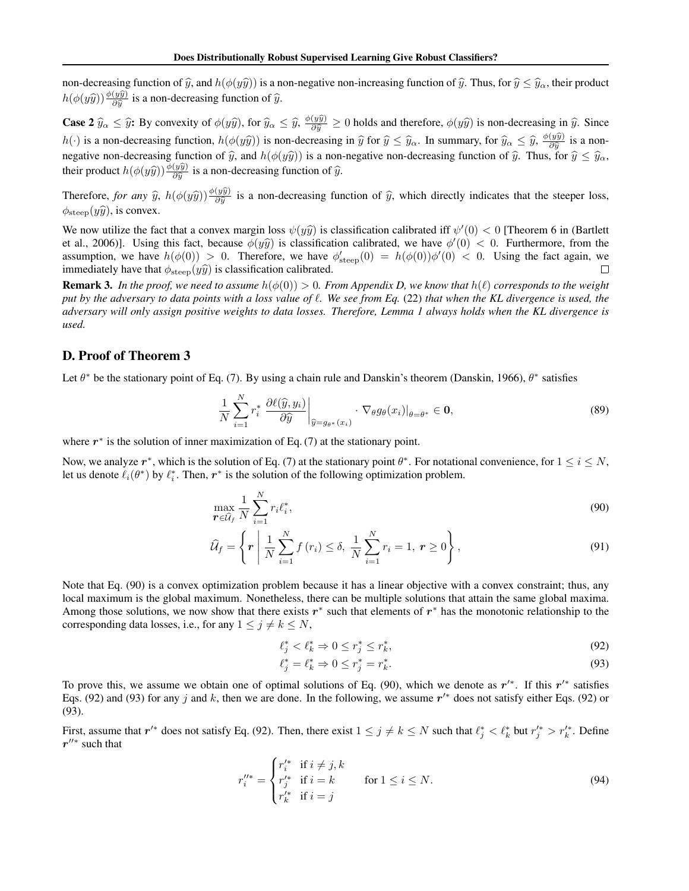non-decreasing function of  $\hat{y}$ , and  $h(\phi(y\hat{y}))$  is a non-negative non-increasing function of  $\hat{y}$ . Thus, for  $\hat{y} \leq \hat{y}_{\alpha}$ , their product  $h(\phi(y\hat{y})) \frac{\phi(y\hat{y})}{\partial \hat{y}}$  is a non-decreasing function of  $\hat{y}$ .

**Case 2**  $\hat{y}_{\alpha} \leq \hat{y}$ : By convexity of  $\phi(y\hat{y})$ , for  $\hat{y}_{\alpha} \leq \hat{y}$ ,  $\frac{\phi(y\hat{y})}{\partial \hat{y}} \geq 0$  holds and therefore,  $\phi(y\hat{y})$  is non-decreasing in  $\hat{y}$ . Since *h*(*·*) is a non-decreasing function,  $h(\phi(y\hat{y}))$  is non-decreasing in  $\hat{y}$  for  $\hat{y} \leq \hat{y}_{\alpha}$ . In summary, for  $\hat{y}_{\alpha} \leq \hat{y}, \frac{\phi(y\hat{y})}{\partial \hat{y}}$  is a nonnegative non-decreasing function of  $\hat{y}$ , and  $h(\phi(y\hat{y}))$  is a non-negative non-decreasing function of  $\hat{y}$ . Thus, for  $\hat{y} \leq \hat{y}_{\alpha}$ , their product  $h(\phi(y\hat{y})) \frac{\phi(y\hat{y})}{\partial \hat{y}}$  is a non-decreasing function of  $\hat{y}$ .

Therefore, *for any*  $\hat{y}$ ,  $h(\phi(y\hat{y}))\frac{\phi(y\hat{y})}{\partial \hat{y}}$  is a non-decreasing function of  $\hat{y}$ , which directly indicates that the steeper loss,  $\phi_{\text{steep}}(y\hat{y})$ , is convex.

We now utilize the fact that a convex margin loss  $\psi(y\hat{y})$  is classification calibrated iff  $\psi'(0) < 0$  [Theorem 6 in (Bartlett) et al., 2006)]. Using this fact, because  $\phi(y\hat{y})$  is classification calibrated, we have  $\phi'(0) < 0$ . Furthermore, from the assumption, we have  $h(\phi(0)) > 0$ . Therefore, we have  $\phi'_{\text{steep}}(0) = h(\phi(0))\phi'(0) < 0$ . Using the fact again, we immediately have that  $\phi_{\text{steep}}(y\hat{y})$  is classification calibrated.  $\Box$ 

**Remark 3.** In the proof, we need to assume  $h(\phi(0)) > 0$ . From Appendix D, we know that  $h(\ell)$  corresponds to the weight *put by the adversary to data points with a loss value of* ℓ*. We see from Eq.* (22) *that when the KL divergence is used, the adversary will only assign positive weights to data losses. Therefore, Lemma 1 always holds when the KL divergence is used.*

## D. Proof of Theorem 3

Let  $\theta^*$  be the stationary point of Eq. (7). By using a chain rule and Danskin's theorem (Danskin, 1966),  $\theta^*$  satisfies

$$
\frac{1}{N} \sum_{i=1}^{N} r_i^* \left. \frac{\partial \ell(\widehat{y}, y_i)}{\partial \widehat{y}} \right|_{\widehat{y} = g_{\theta^*}(x_i)} \cdot \nabla_{\theta} g_{\theta}(x_i)|_{\theta = \theta^*} \in \mathbf{0},\tag{89}
$$

where  $r^*$  is the solution of inner maximization of Eq. (7) at the stationary point.

Now, we analyze  $r^*$ , which is the solution of Eq. (7) at the stationary point  $\theta^*$ . For notational convenience, for  $1 \le i \le N$ , let us denote  $\ell_i(\theta^*)$  by  $\ell_i^*$ . Then,  $r^*$  is the solution of the following optimization problem.

$$
\max_{\boldsymbol{r} \in \widehat{U}_f} \frac{1}{N} \sum_{i=1}^N r_i \ell_i^*,\tag{90}
$$

$$
\widehat{\mathcal{U}}_f = \left\{ \boldsymbol{r} \mid \frac{1}{N} \sum_{i=1}^N f(r_i) \le \delta, \ \frac{1}{N} \sum_{i=1}^N r_i = 1, \ \boldsymbol{r} \ge 0 \right\},\tag{91}
$$

Note that Eq. (90) is a convex optimization problem because it has a linear objective with a convex constraint; thus, any local maximum is the global maximum. Nonetheless, there can be multiple solutions that attain the same global maxima. Among those solutions, we now show that there exists  $r^*$  such that elements of  $r^*$  has the monotonic relationship to the corresponding data losses, i.e., for any  $1 \le j \ne k \le N$ ,

$$
\ell_j^* < \ell_k^* \Rightarrow 0 \le r_j^* \le r_k^*,\tag{92}
$$

$$
\ell_j^* = \ell_k^* \Rightarrow 0 \le r_j^* = r_k^*.
$$
\n(93)

To prove this, we assume we obtain one of optimal solutions of Eq. (90), which we denote as *r*′∗. If this *r*′∗ satisfies Eqs. (92) and (93) for any *j* and *k*, then we are done. In the following, we assume  $r'$ <sup>\*</sup> does not satisfy either Eqs. (92) or (93).

First, assume that  $r'^*$  does not satisfy Eq. (92). Then, there exist  $1 \leq j \neq k \leq N$  such that  $\ell_j^* < \ell_k^*$  but  $r_j'^* > r_k'^*$ . Define *r*′′∗ such that

$$
r_i^{\prime\prime*} = \begin{cases} r_i^{\prime*} & \text{if } i \neq j, k \\ r_j^{\prime*} & \text{if } i = k \\ r_k^{\prime*} & \text{if } i = j \end{cases} \quad \text{for } 1 \leq i \leq N. \tag{94}
$$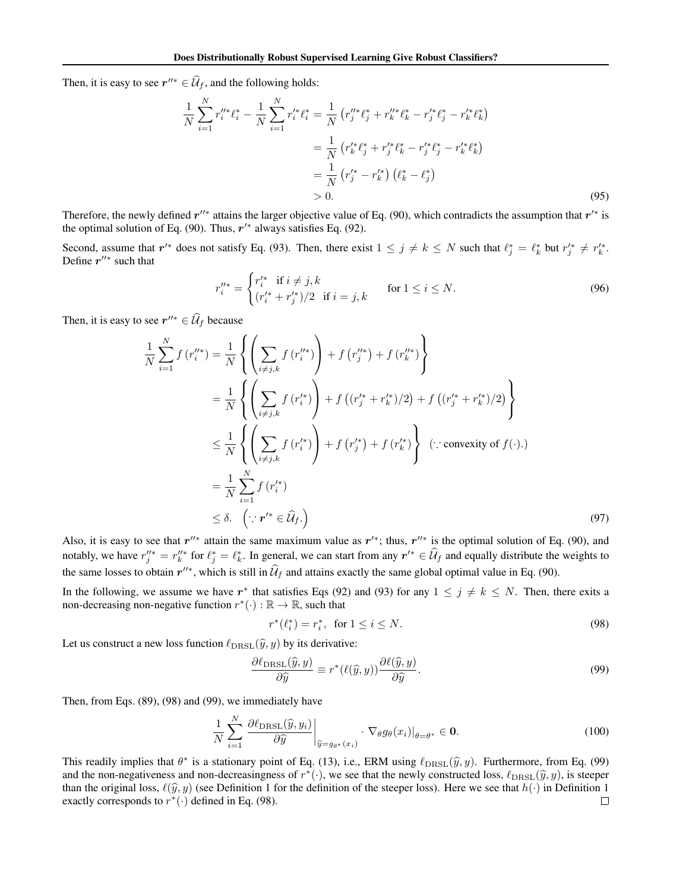Then, it is easy to see  $r''^* \in \widehat{\mathcal{U}}_f$ , and the following holds:

$$
\frac{1}{N} \sum_{i=1}^{N} r_i^{\prime\prime *} \ell_i^* - \frac{1}{N} \sum_{i=1}^{N} r_i^{\prime *} \ell_i^* = \frac{1}{N} \left( r_j^{\prime\prime *} \ell_j^* + r_k^{\prime\prime *} \ell_k^* - r_j^{\prime *} \ell_j^* - r_k^{\prime *} \ell_k^* \right)
$$
\n
$$
= \frac{1}{N} \left( r_k^{\prime *} \ell_j^* + r_j^{\prime *} \ell_k^* - r_j^{\prime *} \ell_j^* - r_k^{\prime *} \ell_k^* \right)
$$
\n
$$
= \frac{1}{N} \left( r_j^{\prime *} - r_k^{\prime *} \right) \left( \ell_k^* - \ell_j^* \right)
$$
\n
$$
> 0.
$$
\n(95)

Therefore, the newly defined *r*′′∗ attains the larger objective value of Eq. (90), which contradicts the assumption that *r*′∗ is the optimal solution of Eq. (90). Thus, *r*′∗ always satisfies Eq. (92).

Second, assume that  $r'^*$  does not satisfy Eq. (93). Then, there exist  $1 \leq j \neq k \leq N$  such that  $\ell_j^* = \ell_k^*$  but  $r_j'^* \neq r_k'^*$ . Define *r*′′∗ such that

$$
r_i''^* = \begin{cases} r_i'^* & \text{if } i \neq j, k \\ (r_i'^* + r_j'^*)/2 & \text{if } i = j, k \end{cases} \quad \text{for } 1 \leq i \leq N. \tag{96}
$$

Then, it is easy to see  $r''^* \in \widehat{\mathcal{U}}_f$  because

$$
\frac{1}{N} \sum_{i=1}^{N} f(r_i''^*) = \frac{1}{N} \left\{ \left( \sum_{i \neq j,k} f(r_i''^*) \right) + f(r_j''^*) + f(r_k''^*) \right\} \n= \frac{1}{N} \left\{ \left( \sum_{i \neq j,k} f(r_i'^*) \right) + f((r_j'^* + r_k'^*)/2) + f((r_j'^* + r_k'^*)/2) \right\} \n\leq \frac{1}{N} \left\{ \left( \sum_{i \neq j,k} f(r_i'^*) \right) + f(r_j'^*) + f(r_k'^*) \right\} \quad (\because \text{convexity of } f(\cdot).)\n= \frac{1}{N} \sum_{i=1}^{N} f(r_i'^*) \n\leq \delta. \quad (\because r'^* \in \hat{U}_f.)
$$
\n(97)

Also, it is easy to see that  $r''^*$  attain the same maximum value as  $r'^*$ ; thus,  $r''^*$  is the optimal solution of Eq. (90), and notably, we have  $r''_j$  =  $r''_k$  for  $\ell_j^* = \ell_k^*$ . In general, we can start from any  $r'^* \in \mathcal{U}_f$  and equally distribute the weights to the same losses to obtain  $r''^*$ , which is still in  $\hat{\mathcal{U}}_f$  and attains exactly the same global optimal value in Eq. (90).

In the following, we assume we have  $r^*$  that satisfies Eqs (92) and (93) for any  $1 \le j \ne k \le N$ . Then, there exits a non-decreasing non-negative function  $r^*(\cdot) : \mathbb{R} \to \mathbb{R}$ , such that

$$
r^*(\ell_i^*) = r_i^*, \text{ for } 1 \le i \le N. \tag{98}
$$

Let us construct a new loss function  $\ell_{\text{DRSL}}(\hat{y}, y)$  by its derivative:

$$
\frac{\partial \ell_{\text{DRSL}}(\widehat{y}, y)}{\partial \widehat{y}} \equiv r^*(\ell(\widehat{y}, y)) \frac{\partial \ell(\widehat{y}, y)}{\partial \widehat{y}}.
$$
\n(99)

Then, from Eqs. (89), (98) and (99), we immediately have

$$
\frac{1}{N} \sum_{i=1}^{N} \left. \frac{\partial \ell_{\text{DRSL}}(\widehat{y}, y_i)}{\partial \widehat{y}} \right|_{\widehat{y} = g_{\theta^*}(x_i)} \cdot \nabla_{\theta} g_{\theta}(x_i)|_{\theta = \theta^*} \in \mathbf{0}.
$$
\n(100)

This readily implies that  $\theta^*$  is a stationary point of Eq. (13), i.e., ERM using  $\ell_{\text{DRSL}}(\hat{y}, y)$ . Furthermore, from Eq. (99) and the non-negativeness and non-decreasingness of  $r^*(\cdot)$ , we see that the newly constructed loss,  $\ell_{\text{DRSL}}(\hat{y}, y)$ , is steeper than the original loss,  $\ell(\hat{y}, y)$  (see Definition 1 for the definition of the steeper loss). Here we see that  $h(\cdot)$  in Definition 1 exactly corresponds to  $r^*(\cdot)$  defined in Eq. (98). exactly corresponds to  $r^*(\cdot)$  defined in Eq. (98).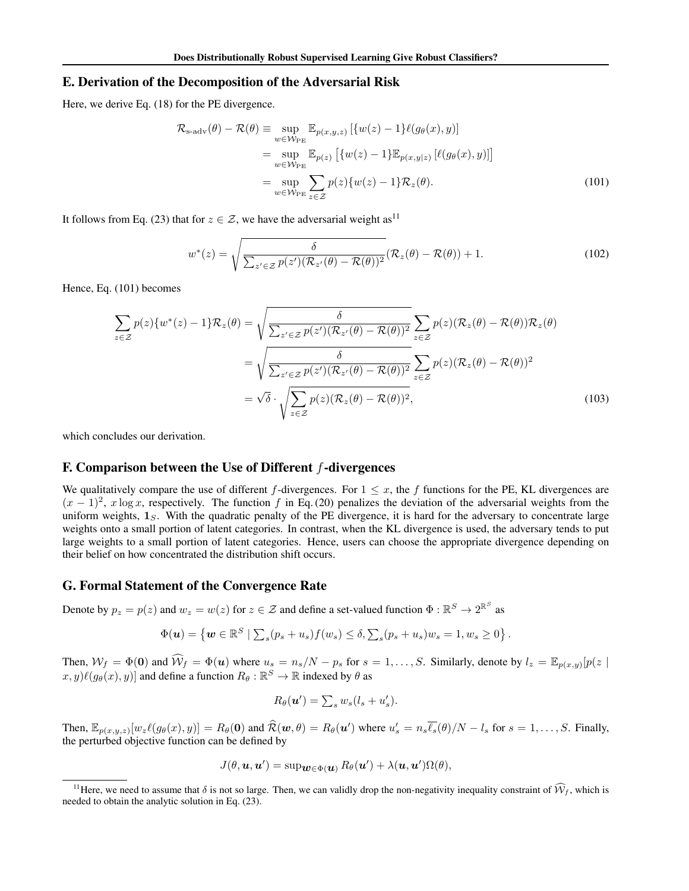#### E. Derivation of the Decomposition of the Adversarial Risk

Here, we derive Eq. (18) for the PE divergence.

$$
\mathcal{R}_{s\text{-adv}}(\theta) - \mathcal{R}(\theta) \equiv \sup_{w \in \mathcal{W}_{\text{PE}}} \mathbb{E}_{p(x,y,z)} [\{w(z) - 1\} \ell(g_{\theta}(x), y)]
$$
  
\n
$$
= \sup_{w \in \mathcal{W}_{\text{PE}}} \mathbb{E}_{p(z)} [\{w(z) - 1\} \mathbb{E}_{p(x,y|z)} [\ell(g_{\theta}(x), y)]]
$$
  
\n
$$
= \sup_{w \in \mathcal{W}_{\text{PE}}} \sum_{z \in \mathcal{Z}} p(z) \{w(z) - 1\} \mathcal{R}_{z}(\theta).
$$
 (101)

It follows from Eq. (23) that for  $z \in \mathcal{Z}$ , we have the adversarial weight as<sup>11</sup>

$$
w^*(z) = \sqrt{\frac{\delta}{\sum_{z' \in \mathcal{Z}} p(z')(\mathcal{R}_{z'}(\theta) - \mathcal{R}(\theta))^2}} (\mathcal{R}_z(\theta) - \mathcal{R}(\theta)) + 1.
$$
 (102)

Hence, Eq. (101) becomes

$$
\sum_{z \in \mathcal{Z}} p(z) \{w^*(z) - 1\} \mathcal{R}_z(\theta) = \sqrt{\frac{\delta}{\sum_{z' \in \mathcal{Z}} p(z') (\mathcal{R}_{z'}(\theta) - \mathcal{R}(\theta))^2}} \sum_{z \in \mathcal{Z}} p(z) (\mathcal{R}_z(\theta) - \mathcal{R}(\theta)) \mathcal{R}_z(\theta)
$$

$$
= \sqrt{\frac{\delta}{\sum_{z' \in \mathcal{Z}} p(z') (\mathcal{R}_{z'}(\theta) - \mathcal{R}(\theta))^2}} \sum_{z \in \mathcal{Z}} p(z) (\mathcal{R}_z(\theta) - \mathcal{R}(\theta))^2
$$

$$
= \sqrt{\delta} \cdot \sqrt{\sum_{z \in \mathcal{Z}} p(z) (\mathcal{R}_z(\theta) - \mathcal{R}(\theta))^2},
$$
(103)

which concludes our derivation.

# F. Comparison between the Use of Different *f*-divergences

We qualitatively compare the use of different *f*-divergences. For  $1 \leq x$ , the *f* functions for the PE, KL divergences are  $(x-1)^2$ , *x* log *x*, respectively. The function *f* in Eq. (20) penalizes the deviation of the adversarial weights from the uniform weights,  $1<sub>S</sub>$ . With the quadratic penalty of the PE divergence, it is hard for the adversary to concentrate large weights onto a small portion of latent categories. In contrast, when the KL divergence is used, the adversary tends to put large weights to a small portion of latent categories. Hence, users can choose the appropriate divergence depending on their belief on how concentrated the distribution shift occurs.

### G. Formal Statement of the Convergence Rate

Denote by  $p_z = p(z)$  and  $w_z = w(z)$  for  $z \in \mathcal{Z}$  and define a set-valued function  $\Phi : \mathbb{R}^S \to 2^{\mathbb{R}^S}$  as

$$
\Phi(\boldsymbol{u}) = \left\{ \boldsymbol{w} \in \mathbb{R}^S \mid \sum_s (p_s + u_s) f(w_s) \leq \delta, \sum_s (p_s + u_s) w_s = 1, w_s \geq 0 \right\}.
$$

Then,  $W_f = \Phi(0)$  and  $W_f = \Phi(u)$  where  $u_s = n_s/N - p_s$  for  $s = 1, ..., S$ . Similarly, denote by  $l_z = \mathbb{E}_{p(x,y)}[p(z)]$  $(x, y)$ lle $(g_{\theta}(x), y)$ ] and define a function  $R_{\theta}: \mathbb{R}^S \to \mathbb{R}$  indexed by  $\theta$  as

$$
R_{\theta}(\boldsymbol{u}') = \sum_{s} w_{s}(l_{s} + u'_{s}).
$$

Then,  $\mathbb{E}_{p(x,y,z)}[w_z\ell(g_\theta(x),y)] = R_\theta(\mathbf{0})$  and  $\mathcal{R}(\mathbf{w},\theta) = R_\theta(\mathbf{u}')$  where  $u'_s = n_s\ell_s(\theta)/N - l_s$  for  $s = 1,\ldots,S$ . Finally, the perturbed objective function can be defined by

$$
J(\theta, \boldsymbol{u}, \boldsymbol{u}') = \sup \boldsymbol{w} \in \Phi(\boldsymbol{u})} R_{\theta}(\boldsymbol{u}') + \lambda(\boldsymbol{u}, \boldsymbol{u}') \Omega(\theta),
$$

<sup>&</sup>lt;sup>11</sup>Here, we need to assume that  $\delta$  is not so large. Then, we can validly drop the non-negativity inequality constraint of  $\hat{W}_f$ , which is needed to obtain the analytic solution in Eq. (23).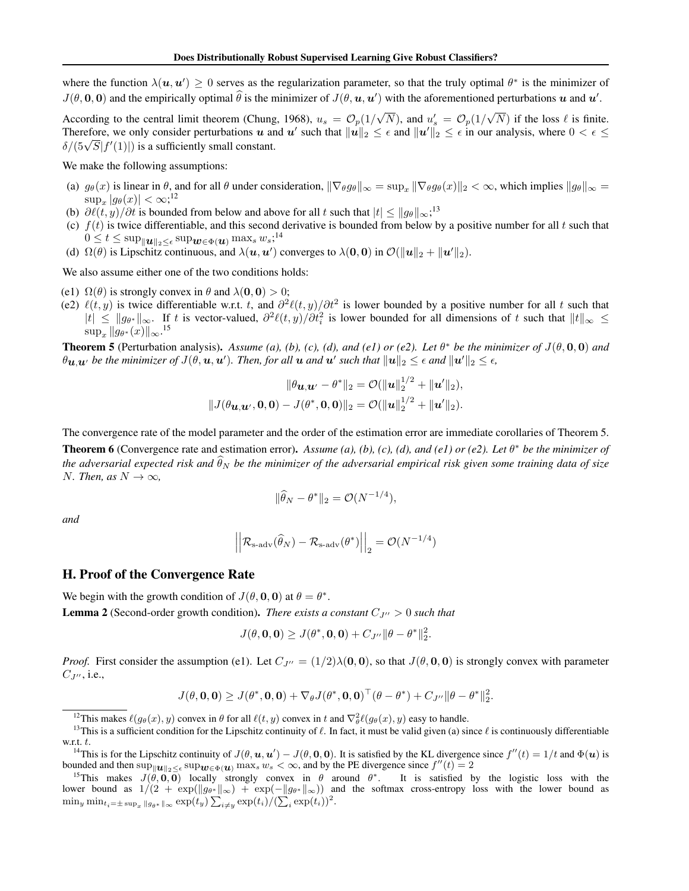where the function  $\lambda(u, u') \geq 0$  serves as the regularization parameter, so that the truly optimal  $\theta^*$  is the minimizer of  $J(\theta, \mathbf{0}, \mathbf{0})$  and the empirically optimal  $\theta$  is the minimizer of  $J(\theta, \mathbf{u}, \mathbf{u}')$  with the aforementioned perturbations  $\mathbf{u}$  and  $\mathbf{u}'$ .

According to the central limit theorem (Chung, 1968),  $u_s = \mathcal{O}_p(1/\sqrt{N})$ , and  $u'_s = \mathcal{O}_p(1/\sqrt{N})$  if the loss  $\ell$  is finite. Therefore, we only consider perturbations *u* and *u'* such that  $||u||_2 \leq \epsilon$  and  $||u'||_2 \leq \epsilon$  in our analysis, where  $0 < \epsilon \leq$  $\delta/(5\sqrt{S}|f'(1)|)$  is a sufficiently small constant.

We make the following assumptions:

- (a)  $g_{\theta}(x)$  is linear in  $\theta$ , and for all  $\theta$  under consideration,  $\|\nabla_{\theta}g_{\theta}\|_{\infty} = \sup_x \|\nabla_{\theta}g_{\theta}(x)\|_2 < \infty$ , which implies  $\|g_{\theta}\|_{\infty} =$  $\sup_x |g_\theta(x)| < \infty;$ <sup>12</sup>
- (b)  $\partial \ell(t, y)/\partial t$  is bounded from below and above for all *t* such that  $|t| \le ||g_{\theta}||_{\infty}$ ;<sup>13</sup>
- (c)  $f(t)$  is twice differentiable, and this second derivative is bounded from below by a positive number for all  $t$  such that  $0 \leq t \leq \sup_{\|\boldsymbol{u}\|_2 \leq \epsilon} \sup_{\boldsymbol{w} \in \Phi(\boldsymbol{u})} \max_s w_s;$ <sup>14</sup>
- (d)  $\Omega(\theta)$  is Lipschitz continuous, and  $\lambda(u, u')$  converges to  $\lambda(0, 0)$  in  $\mathcal{O}(\Vert u \Vert_2 + \Vert u' \Vert_2)$ .

We also assume either one of the two conditions holds:

- (e1)  $\Omega(\theta)$  is strongly convex in  $\theta$  and  $\lambda(\mathbf{0}, \mathbf{0}) > 0$ ;
- (e2)  $\ell(t, y)$  is twice differentiable w.r.t. *t*, and  $\partial^2 \ell(t, y)/\partial t^2$  is lower bounded by a positive number for all *t* such that  $|t|$  ≤  $||g_{\theta^*}||_{\infty}$ . If *t* is vector-valued,  $\partial^2 \ell(t,y)/\partial t_i^2$  is lower bounded for all dimensions of *t* such that  $||t||_{\infty}$  ≤  $\sup_x \|g_{\theta^*}(x)\|_{\infty}.$ <sup>15</sup>

**Theorem 5** (Perturbation analysis). *Assume (a), (b), (c), (d), and (e1) or (e2). Let*  $\theta^*$  *be the minimizer of*  $J(\theta, \mathbf{0}, \mathbf{0})$  *and*  $\theta$ *u,* $u'$  *be the minimizer of*  $J(\theta, \boldsymbol{u}, \boldsymbol{u}')$ *. Then, for all*  $u$  *and*  $u'$  *such that*  $\|u\|_2 \leq \epsilon$  *and*  $\|u'\|_2 \leq \epsilon$ *,* 

$$
\|\theta \mathbf{u}_{\cdot} \mathbf{u}_{\cdot} - \theta^* \|_2 = \mathcal{O}(\|\mathbf{u}\|_2^{1/2} + \|\mathbf{u}'\|_2),
$$
  

$$
\|J(\theta \mathbf{u}_{\cdot} \mathbf{u}_{\cdot}, \mathbf{0}, \mathbf{0}) - J(\theta^*, \mathbf{0}, \mathbf{0}) \|_2 = \mathcal{O}(\|\mathbf{u}\|_2^{1/2} + \|\mathbf{u}'\|_2).
$$

The convergence rate of the model parameter and the order of the estimation error are immediate corollaries of Theorem 5.

**Theorem 6** (Convergence rate and estimation error). *Assume (a), (b), (c), (d), and (e1) or (e2). Let*  $\theta^*$  *be the minimizer of* the adversarial expected risk and  $\theta_N$  be the minimizer of the adversarial empirical risk given some training data of size *N. Then, as*  $N \to \infty$ *,* 

$$
\|\widehat{\theta}_N - \theta^*\|_2 = \mathcal{O}(N^{-1/4}),
$$

*and*

$$
\left\| \left| \mathcal{R}_{\mathrm{s\text{-}adv}}(\widehat{\theta}_N) - \mathcal{R}_{\mathrm{s\text{-}adv}}(\theta^*) \right| \right|_2 = \mathcal{O}(N^{-1/4})
$$

### H. Proof of the Convergence Rate

We begin with the growth condition of  $J(\theta, \mathbf{0}, \mathbf{0})$  at  $\theta = \theta^*$ .

**Lemma 2** (Second-order growth condition). *There exists a constant*  $C_{J}$ <sup> $\prime$ </sup> > 0 *such that* 

$$
J(\theta, \mathbf{0}, \mathbf{0}) \ge J(\theta^*, \mathbf{0}, \mathbf{0}) + C_{J''} \|\theta - \theta^*\|_2^2.
$$

*Proof.* First consider the assumption (e1). Let  $C_{J''} = (1/2)\lambda(0,0)$ , so that  $J(\theta,0,0)$  is strongly convex with parameter  $C_{J''}, i.e.,$ 

$$
J(\theta, \mathbf{0}, \mathbf{0}) \geq J(\theta^*, \mathbf{0}, \mathbf{0}) + \nabla_{\theta} J(\theta^*, \mathbf{0}, \mathbf{0})^{\top} (\theta - \theta^*) + C_{J''} \|\theta - \theta^*\|_2^2.
$$

<sup>&</sup>lt;sup>12</sup>This makes  $\ell(g_{\theta}(x), y)$  convex in  $\theta$  for all  $\ell(t, y)$  convex in  $t$  and  $\nabla_{\theta}^2 \ell(g_{\theta}(x), y)$  easy to handle.

<sup>&</sup>lt;sup>13</sup>This is a sufficient condition for the Lipschitz continuity of  $\ell$ . In fact, it must be valid given (a) since  $\ell$  is continuously differentiable w.r.t. *t*.

<sup>&</sup>lt;sup>14</sup>This is for the Lipschitz continuity of  $J(\theta, \mathbf{u}, \mathbf{u}') - J(\theta, \mathbf{0}, \mathbf{0})$ . It is satisfied by the KL divergence since  $f''(t) = 1/t$  and  $\Phi(\mathbf{u})$  is bounded and then  $\sup_{\|\boldsymbol{u}\|_2 \leq \epsilon} \sup_{\boldsymbol{w} \in \Phi(\boldsymbol{u})} \max_s w_s < \infty$ , and by the PE divergence since  $f''(t) = 2$ <br><sup>15</sup>This makes  $J(\theta, \mathbf{0}, \mathbf{0})$  locally strongly convex in  $\theta$  around  $\theta^*$ . It is satisfied by the logist

lower bound as 1*/*(2 + exp(∥*g*<sup>θ</sup><sup>∗</sup> ∥∞) + exp(−∥*g*<sup>θ</sup><sup>∗</sup> ∥∞)) and the softmax cross-entropy loss with the lower bound as  $\min_y \min_{t_i = \pm \sup_x \|g_{\theta^*}\|_{\infty}} \exp(t_y) \sum_{i \neq y} \exp(t_i) / (\sum_i \exp(t_i))^2$ .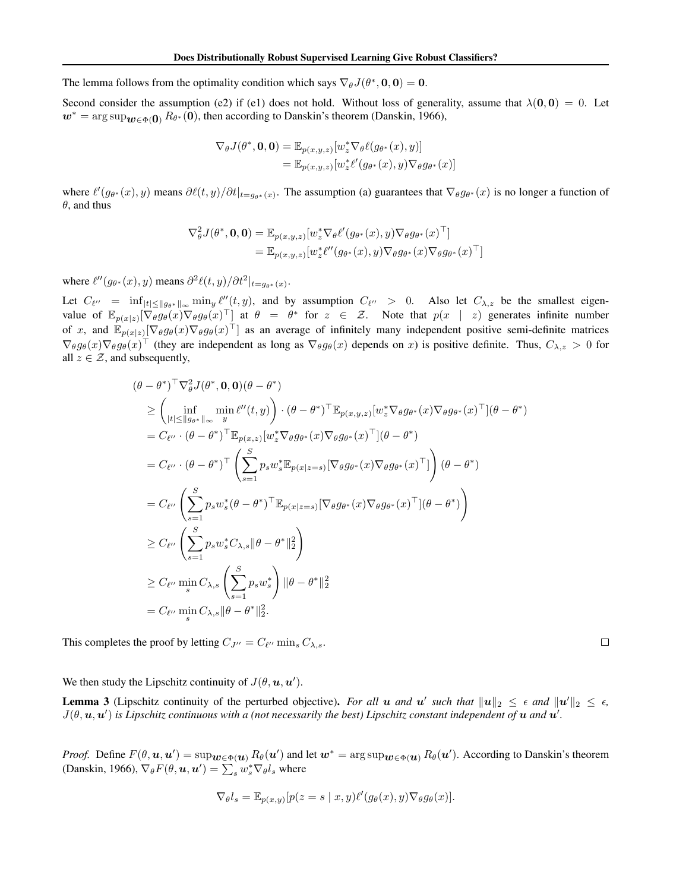The lemma follows from the optimality condition which says  $\nabla_{\theta} J(\theta^*, \mathbf{0}, \mathbf{0}) = \mathbf{0}$ .

Second consider the assumption (e2) if (e1) does not hold. Without loss of generality, assume that  $\lambda(0,0)=0$ . Let  $w^* = \arg \sup_{w \in \Phi(0)} R_{\theta^*}(0)$ , then according to Danskin's theorem (Danskin, 1966),

$$
\nabla_{\theta} J(\theta^*, \mathbf{0}, \mathbf{0}) = \mathbb{E}_{p(x,y,z)}[w_z^* \nabla_{\theta} \ell(g_{\theta^*}(x), y)]
$$
  
= 
$$
\mathbb{E}_{p(x,y,z)}[w_z^* \ell'(g_{\theta^*}(x), y) \nabla_{\theta} g_{\theta^*}(x)]
$$

where  $\ell'(g_{\theta^*}(x), y)$  means  $\partial \ell(t, y)/\partial t|_{t=g_{\theta^*}(x)}$ . The assumption (a) guarantees that  $\nabla_{\theta} g_{\theta^*}(x)$  is no longer a function of  $\theta$ , and thus

$$
\nabla_{\theta}^{2} J(\theta^{*}, \mathbf{0}, \mathbf{0}) = \mathbb{E}_{p(x, y, z)}[w_{z}^{*} \nabla_{\theta} \ell'(g_{\theta^{*}}(x), y) \nabla_{\theta} g_{\theta^{*}}(x)^{\top}]
$$
  
= 
$$
\mathbb{E}_{p(x, y, z)}[w_{z}^{*} \ell''(g_{\theta^{*}}(x), y) \nabla_{\theta} g_{\theta^{*}}(x) \nabla_{\theta} g_{\theta^{*}}(x)^{\top}]
$$

where  $\ell''(g_{\theta^*}(x), y)$  means  $\partial^2 \ell(t, y) / \partial t^2 |_{t = g_{\theta^*}(x)}$ .

Let  $C_{\ell''}$  =  $\inf_{|t| \le ||g_{\theta^*}||_{\infty}} \min_y \ell''(t, y)$ , and by assumption  $C_{\ell''} > 0$ . Also let  $C_{\lambda, z}$  be the smallest eigenvalue of  $\mathbb{E}_{p(x|z)}[\nabla_{\theta} g_{\theta}(x) \nabla_{\theta} g_{\theta}(x)^{\top}]$  at  $\theta = \theta^*$  for  $z \in \mathcal{Z}$ . Note that  $p(x | z)$  generates infinite number of *x*, and  $\mathbb{E}_{p(x|z)}[\nabla_\theta g_\theta(x) \nabla_\theta g_\theta(x)^\top]$  as an average of infinitely many independent positive semi-definite matrices  $\nabla_{\theta} g_{\theta}(x) \nabla_{\theta} g_{\theta}(x)$ <sup>T</sup> (they are independent as long as  $\nabla_{\theta} g_{\theta}(x)$  depends on *x*) is positive definite. Thus,  $C_{\lambda,z} > 0$  for all  $z \in \mathcal{Z}$ , and subsequently,

$$
(\theta - \theta^*)^\top \nabla_{\theta}^2 J(\theta^*, \mathbf{0}, \mathbf{0})(\theta - \theta^*)
$$
  
\n
$$
\geq \left(\inf_{|t| \leq ||g_{\theta^*}||_{\infty}} \min_{y} \ell''(t, y)\right) \cdot (\theta - \theta^*)^\top \mathbb{E}_{p(x, y, z)}[w_z^* \nabla_{\theta} g_{\theta^*}(x) \nabla_{\theta} g_{\theta^*}(x)^\top](\theta - \theta^*)
$$
  
\n
$$
= C_{\ell''} \cdot (\theta - \theta^*)^\top \mathbb{E}_{p(x, z)}[w_z^* \nabla_{\theta} g_{\theta^*}(x) \nabla_{\theta} g_{\theta^*}(x)^\top](\theta - \theta^*)
$$
  
\n
$$
= C_{\ell''} \cdot (\theta - \theta^*)^\top \left(\sum_{s=1}^S p_s w_s^* \mathbb{E}_{p(x|z=s)}[\nabla_{\theta} g_{\theta^*}(x) \nabla_{\theta} g_{\theta^*}(x)^\top](\theta - \theta^*)\right)
$$
  
\n
$$
= C_{\ell''} \left(\sum_{s=1}^S p_s w_s^* (\theta - \theta^*)^\top \mathbb{E}_{p(x|z=s)}[\nabla_{\theta} g_{\theta^*}(x) \nabla_{\theta} g_{\theta^*}(x)^\top](\theta - \theta^*)\right)
$$
  
\n
$$
\geq C_{\ell''} \left(\sum_{s=1}^S p_s w_s^* C_{\lambda, s} \|\theta - \theta^*\|_2^2\right)
$$
  
\n
$$
\geq C_{\ell''} \min_{s} C_{\lambda, s} \left(\sum_{s=1}^S p_s w_s^*\right) \|\theta - \theta^*\|_2^2
$$
  
\n
$$
= C_{\ell''} \min_{s} C_{\lambda, s} \|\theta - \theta^*\|_2^2.
$$

This completes the proof by letting  $C_{J''} = C_{\ell''} \min_s C_{\lambda, s}$ .

 $\Box$ 

We then study the Lipschitz continuity of  $J(\theta, \mathbf{u}, \mathbf{u}')$ .

**Lemma 3** (Lipschitz continuity of the perturbed objective). *For all*  $u$  *and*  $u'$  *such that*  $||u||_2 \le \epsilon$  *and*  $||u'||_2 \le \epsilon$ ,  $J(\theta, \mathbf{u}, \mathbf{u}')$  is Lipschitz continuous with a (not necessarily the best) Lipschitz constant independent of  $\mathbf{u}$  and  $\mathbf{u}'$ .

*Proof.* Define  $F(\theta, \mathbf{u}, \mathbf{u}') = \sup_{\mathbf{w} \in \Phi(\mathbf{u})} R_{\theta}(\mathbf{u}')$  and let  $\mathbf{w}^* = \arg \sup_{\mathbf{w} \in \Phi(\mathbf{u})} R_{\theta}(\mathbf{u}')$ . According to Danskin's theorem (Danskin, 1966),  $\nabla_{\theta} F(\theta, \mathbf{u}, \mathbf{u}') = \sum_{s} w_s^* \nabla_{\theta} l_s$  where

$$
\nabla_{\theta} l_s = \mathbb{E}_{p(x,y)}[p(z=s \mid x, y)\ell'(g_{\theta}(x), y)\nabla_{\theta} g_{\theta}(x)].
$$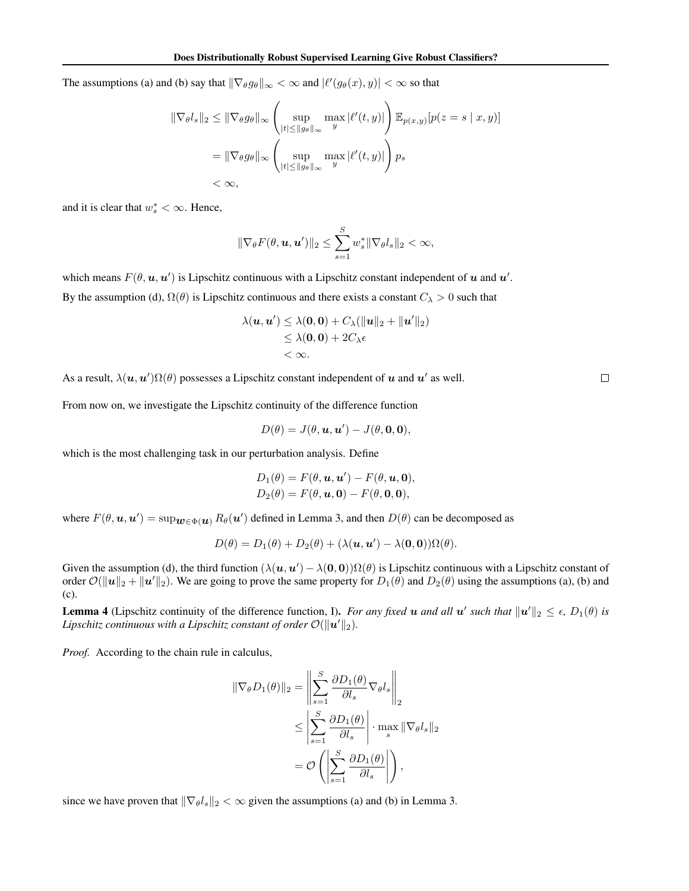The assumptions (a) and (b) say that  $\|\nabla_{\theta}g_{\theta}\|_{\infty} < \infty$  and  $|\ell'(g_{\theta}(x), y)| < \infty$  so that

$$
\begin{aligned} \|\nabla_{\theta}l_s\|_2 &\leq \|\nabla_{\theta}g_{\theta}\|_{\infty} \left(\sup_{|t| \leq \|g_{\theta}\|_{\infty}} \max_{y} |\ell'(t,y)|\right) \mathbb{E}_{p(x,y)}[p(z=s \mid x,y)] \\ &= \|\nabla_{\theta}g_{\theta}\|_{\infty} \left(\sup_{|t| \leq \|g_{\theta}\|_{\infty}} \max_{y} |\ell'(t,y)|\right) p_s \\ &< \infty, \end{aligned}
$$

and it is clear that  $w_s^* < \infty$ . Hence,

$$
\|\nabla_{\theta} F(\theta, \boldsymbol{u}, \boldsymbol{u}')\|_2 \leq \sum_{s=1}^S w_s^* \|\nabla_{\theta} l_s\|_2 < \infty,
$$

which means  $F(\theta, \mathbf{u}, \mathbf{u}')$  is Lipschitz continuous with a Lipschitz constant independent of  $\mathbf{u}$  and  $\mathbf{u}'$ . By the assumption (d),  $\Omega(\theta)$  is Lipschitz continuous and there exists a constant  $C_{\lambda} > 0$  such that

$$
\lambda(\mathbf{u}, \mathbf{u}') \leq \lambda(\mathbf{0}, \mathbf{0}) + C_{\lambda}(\|\mathbf{u}\|_{2} + \|\mathbf{u}'\|_{2})
$$
  
\n
$$
\leq \lambda(\mathbf{0}, \mathbf{0}) + 2C_{\lambda}\epsilon
$$
  
\n
$$
< \infty.
$$

As a result,  $\lambda(\mathbf{u}, \mathbf{u}')\Omega(\theta)$  possesses a Lipschitz constant independent of  $\mathbf{u}$  and  $\mathbf{u}'$  as well.

From now on, we investigate the Lipschitz continuity of the difference function

$$
D(\theta) = J(\theta, \mathbf{u}, \mathbf{u}') - J(\theta, \mathbf{0}, \mathbf{0}),
$$

which is the most challenging task in our perturbation analysis. Define

$$
D_1(\theta) = F(\theta, \mathbf{u}, \mathbf{u}') - F(\theta, \mathbf{u}, \mathbf{0}),
$$
  
\n
$$
D_2(\theta) = F(\theta, \mathbf{u}, \mathbf{0}) - F(\theta, \mathbf{0}, \mathbf{0}),
$$

where  $F(\theta, \mathbf{u}, \mathbf{u}') = \sup_{\mathbf{w} \in \Phi(\mathbf{u})} R_{\theta}(\mathbf{u}')$  defined in Lemma 3, and then  $D(\theta)$  can be decomposed as

$$
D(\theta) = D_1(\theta) + D_2(\theta) + (\lambda(\mathbf{u}, \mathbf{u}') - \lambda(\mathbf{0}, \mathbf{0}))\Omega(\theta).
$$

Given the assumption (d), the third function  $(\lambda(\mathbf{u}, \mathbf{u}') - \lambda(\mathbf{0}, \mathbf{0}))\Omega(\theta)$  is Lipschitz continuous with a Lipschitz constant of order  $\mathcal{O}(\|\mathbf{u}\|_2 + \|\mathbf{u}'\|_2)$ . We are going to prove the same property for  $D_1(\theta)$  and  $D_2(\theta)$  using the assumptions (a), (b) and (c).

**Lemma 4** (Lipschitz continuity of the difference function, I). *For any fixed u and all*  $u'$  *such that*  $||u'||_2 \le \epsilon$ ,  $D_1(\theta)$  *is*  $Lipschitz$  continuous with a  $Lipschitz$  constant of order  $\mathcal{O}(\|\boldsymbol{u}'\|_2).$ 

*Proof.* According to the chain rule in calculus,

$$
\begin{aligned} \|\nabla_{\theta} D_1(\theta)\|_2 &= \left\|\sum_{s=1}^S \frac{\partial D_1(\theta)}{\partial l_s} \nabla_{\theta} l_s\right\|_2 \\ &\le \left|\sum_{s=1}^S \frac{\partial D_1(\theta)}{\partial l_s}\right| \cdot \max_s \|\nabla_{\theta} l_s\|_2 \\ &= \mathcal{O}\left(\left|\sum_{s=1}^S \frac{\partial D_1(\theta)}{\partial l_s}\right|\right), \end{aligned}
$$

since we have proven that  $\|\nabla_{\theta}l_s\|_2 < \infty$  given the assumptions (a) and (b) in Lemma 3.

 $\Box$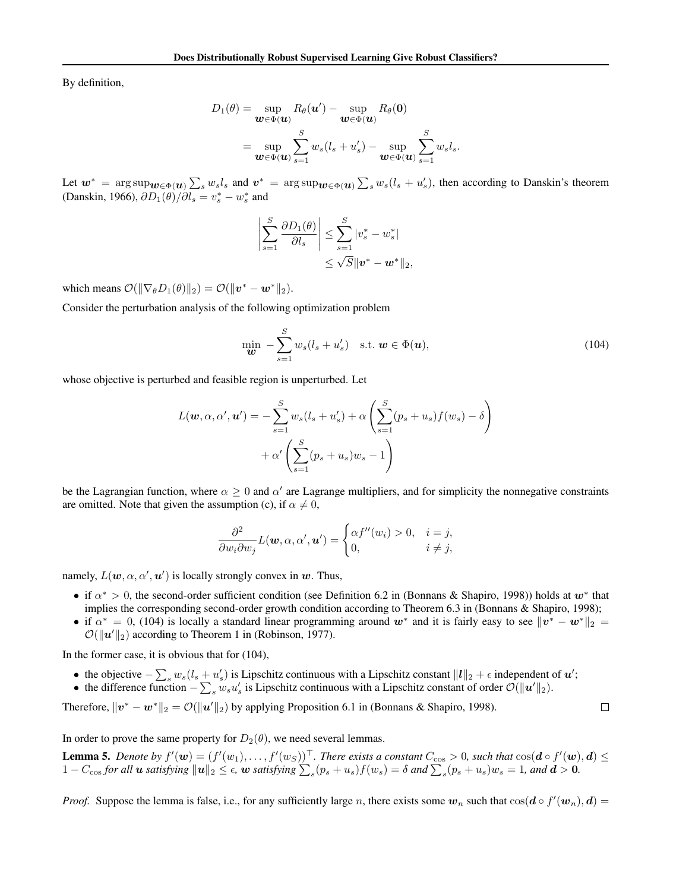By definition,

$$
D_1(\theta) = \sup_{\boldsymbol{w} \in \Phi(\boldsymbol{u})} R_{\theta}(\boldsymbol{u}') - \sup_{\boldsymbol{w} \in \Phi(\boldsymbol{u})} R_{\theta}(\boldsymbol{0})
$$
  
= 
$$
\sup_{\boldsymbol{w} \in \Phi(\boldsymbol{u})} \sum_{s=1}^S w_s(l_s + u'_s) - \sup_{\boldsymbol{w} \in \Phi(\boldsymbol{u})} \sum_{s=1}^S w_s l_s.
$$

Let  $w^* = \arg \sup_{w \in \Phi(u)} \sum_s w_s l_s$  and  $v^* = \arg \sup_{w \in \Phi(u)} \sum_s w_s (l_s + u'_s)$ , then according to Danskin's theorem (Danskin, 1966),  $\partial D_1(\theta)/\partial l_s = v_s^* - w_s^*$  and

$$
\left|\sum_{s=1}^{S} \frac{\partial D_1(\theta)}{\partial l_s}\right| \leq \sum_{s=1}^{S} |v_s^* - w_s^*|
$$
  

$$
\leq \sqrt{S} \|\mathbf{v}^* - \mathbf{w}^*\|_2,
$$

which means  $\mathcal{O}(\|\nabla_{\theta}D_1(\theta)\|_2) = \mathcal{O}(\|\boldsymbol{v}^* - \boldsymbol{w}^*\|_2).$ 

Consider the perturbation analysis of the following optimization problem

$$
\min_{\boldsymbol{w}} - \sum_{s=1}^{S} w_s (l_s + u'_s) \quad \text{s.t. } \boldsymbol{w} \in \Phi(\boldsymbol{u}), \tag{104}
$$

whose objective is perturbed and feasible region is unperturbed. Let

$$
L(\mathbf{w}, \alpha, \alpha', \mathbf{u'}) = -\sum_{s=1}^{S} w_s (l_s + u'_s) + \alpha \left( \sum_{s=1}^{S} (p_s + u_s) f(w_s) - \delta \right) + \alpha' \left( \sum_{s=1}^{S} (p_s + u_s) w_s - 1 \right)
$$

be the Lagrangian function, where  $\alpha \geq 0$  and  $\alpha'$  are Lagrange multipliers, and for simplicity the nonnegative constraints are omitted. Note that given the assumption (c), if  $\alpha \neq 0$ ,

$$
\frac{\partial^2}{\partial w_i \partial w_j} L(\boldsymbol{w}, \alpha, \alpha', \boldsymbol{u}') = \begin{cases} \alpha f''(w_i) > 0, \quad i = j, \\ 0, & i \neq j, \end{cases}
$$

namely,  $L(\mathbf{w}, \alpha, \alpha', \mathbf{u}')$  is locally strongly convex in  $\mathbf{w}$ . Thus,

- *•* if α<sup>∗</sup> *>* 0, the second-order sufficient condition (see Definition 6.2 in (Bonnans & Shapiro, 1998)) holds at *w*<sup>∗</sup> that implies the corresponding second-order growth condition according to Theorem 6.3 in (Bonnans & Shapiro, 1998);
- if  $\alpha^* = 0$ , (104) is locally a standard linear programming around  $w^*$  and it is fairly easy to see  $||v^* w^*||_2 =$  $O(||u'||_2)$  according to Theorem 1 in (Robinson, 1977).

In the former case, it is obvious that for (104),

- the objective  $-\sum_s w_s(l_s + u'_s)$  is Lipschitz continuous with a Lipschitz constant  $||l||_2 + \epsilon$  independent of *u'*;
- the difference function  $-\sum_{s} w_s u'_s$  is Lipschitz continuous with a Lipschitz constant of order  $\mathcal{O}(\|\boldsymbol{u}'\|_2)$ .

Therefore,  $||v^* - w^*||_2 = \mathcal{O}(||u'||_2)$  by applying Proposition 6.1 in (Bonnans & Shapiro, 1998).

 $\Box$ 

In order to prove the same property for  $D_2(\theta)$ , we need several lemmas.

**Lemma 5.** Denote by  $f'(w) = (f'(w_1), \ldots, f'(w_s))^\top$ . There exists a constant  $C_{\cos} > 0$ , such that  $\cos(\mathbf{d} \circ f'(w), \mathbf{d}) \leq$  $1 - C_{\cos}$  for all  $u$  satisfying  $||u||_2 \le \epsilon$ ,  $w$  satisfying  $\sum_s (p_s + u_s) f(w_s) = \delta$  and  $\sum_s (p_s + u_s) w_s = 1$ , and  $d > 0$ .

*Proof.* Suppose the lemma is false, i.e., for any sufficiently large *n*, there exists some  $w_n$  such that  $cos(d \circ f'(w_n), d)$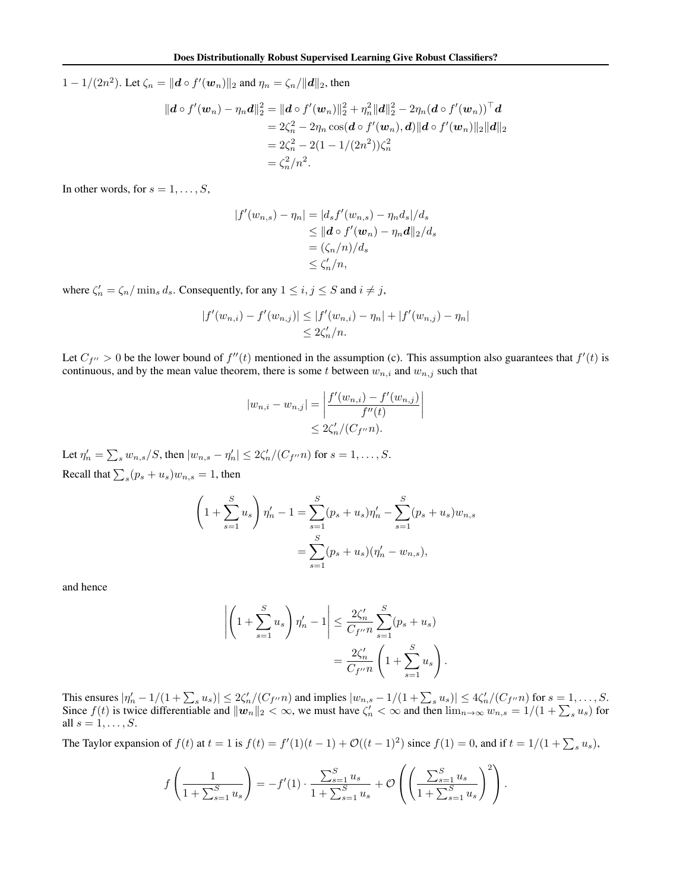$1 - 1/(2n^2)$ . Let  $\zeta_n = ||\boldsymbol{d} \circ f'(\boldsymbol{w}_n)||_2$  and  $\eta_n = \zeta_n/||\boldsymbol{d}||_2$ , then

$$
||d \circ f'(w_n) - \eta_n d||_2^2 = ||d \circ f'(w_n)||_2^2 + \eta_n^2 ||d||_2^2 - 2\eta_n (d \circ f'(w_n))^{\top} d
$$
  
=  $2\zeta_n^2 - 2\eta_n \cos(d \circ f'(w_n), d) ||d \circ f'(w_n)||_2 ||d||_2$   
=  $2\zeta_n^2 - 2(1 - 1/(2n^2))\zeta_n^2$   
=  $\zeta_n^2/n^2$ .

In other words, for  $s = 1, \ldots, S$ ,

$$
|f'(w_{n,s}) - \eta_n| = |d_s f'(w_{n,s}) - \eta_n d_s|/d_s
$$
  
\n
$$
\leq ||d \circ f'(w_n) - \eta_n d||_2/d_s
$$
  
\n
$$
= (\zeta_n/n)/d_s
$$
  
\n
$$
\leq \zeta'_n/n,
$$

where  $\zeta'_n = \zeta_n / \min_s d_s$ . Consequently, for any  $1 \le i, j \le S$  and  $i \ne j$ ,

$$
|f'(w_{n,i}) - f'(w_{n,j})| \le |f'(w_{n,i}) - \eta_n| + |f'(w_{n,j}) - \eta_n|
$$
  

$$
\le 2\zeta'_n/n.
$$

Let  $C_{f''} > 0$  be the lower bound of  $f''(t)$  mentioned in the assumption (c). This assumption also guarantees that  $f'(t)$  is continuous, and by the mean value theorem, there is some *t* between  $w_{n,i}$  and  $w_{n,j}$  such that

$$
|w_{n,i} - w_{n,j}| = \left| \frac{f'(w_{n,i}) - f'(w_{n,j})}{f''(t)} \right|
$$
  
 
$$
\leq 2\zeta'_n/(C_{f''}n).
$$

Let  $\eta'_n = \sum_s w_{n,s}/S$ , then  $|w_{n,s} - \eta'_n| \leq 2\zeta'_n/(C_{f''}n)$  for  $s = 1, ..., S$ . Recall that  $\sum_{s} (p_s + u_s) w_{n,s} = 1$ , then

$$
\left(1 + \sum_{s=1}^{S} u_s\right) \eta'_n - 1 = \sum_{s=1}^{S} (p_s + u_s) \eta'_n - \sum_{s=1}^{S} (p_s + u_s) w_{n,s}
$$

$$
= \sum_{s=1}^{S} (p_s + u_s) (\eta'_n - w_{n,s}),
$$

and hence

$$
\left| \left( 1 + \sum_{s=1}^{S} u_s \right) \eta'_n - 1 \right| \leq \frac{2\zeta'_n}{C_{f''} n} \sum_{s=1}^{S} (p_s + u_s) \n= \frac{2\zeta'_n}{C_{f''} n} \left( 1 + \sum_{s=1}^{S} u_s \right).
$$

This ensures  $|\eta'_n - 1/(1 + \sum_s u_s)| \leq 2\zeta'_n/(C_{f''}n)$  and implies  $|w_{n,s} - 1/(1 + \sum_s u_s)| \leq 4\zeta'_n/(C_{f''}n)$  for  $s = 1, ..., S$ . Since  $f(t)$  is twice differentiable and  $||w_n||_2 < \infty$ , we must have  $\zeta'_n < \infty$  and then  $\lim_{n\to\infty} w_{n,s} = 1/(1 + \sum_s u_s)$  for all  $s = 1, ..., S$ .

The Taylor expansion of  $f(t)$  at  $t = 1$  is  $f(t) = f'(1)(t - 1) + \mathcal{O}((t - 1)^2)$  since  $f(1) = 0$ , and if  $t = 1/(1 + \sum_s u_s)$ ,

$$
f\left(\frac{1}{1+\sum_{s=1}^{S}u_{s}}\right)=-f'(1)\cdot\frac{\sum_{s=1}^{S}u_{s}}{1+\sum_{s=1}^{S}u_{s}}+\mathcal{O}\left(\left(\frac{\sum_{s=1}^{S}u_{s}}{1+\sum_{s=1}^{S}u_{s}}\right)^{2}\right).
$$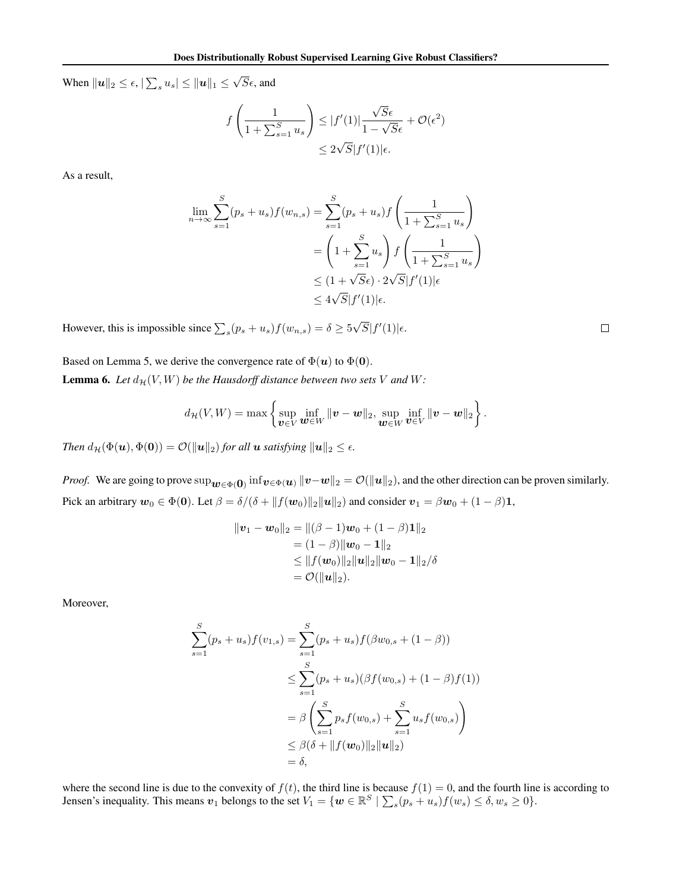When  $||u||_2 \leq \epsilon$ ,  $|\sum_s u_s| \leq ||u||_1 \leq \sqrt{S}\epsilon$ , and

$$
f\left(\frac{1}{1+\sum_{s=1}^{S}u_{s}}\right) \leq |f'(1)|\frac{\sqrt{S}\epsilon}{1-\sqrt{S}\epsilon} + \mathcal{O}(\epsilon^{2})
$$

$$
\leq 2\sqrt{S}|f'(1)|\epsilon.
$$

As a result,

$$
\lim_{n \to \infty} \sum_{s=1}^{S} (p_s + u_s) f(w_{n,s}) = \sum_{s=1}^{S} (p_s + u_s) f\left(\frac{1}{1 + \sum_{s=1}^{S} u_s}\right)
$$

$$
= \left(1 + \sum_{s=1}^{S} u_s\right) f\left(\frac{1}{1 + \sum_{s=1}^{S} u_s}\right)
$$

$$
\leq (1 + \sqrt{S}\epsilon) \cdot 2\sqrt{S} |f'(1)| \epsilon
$$

$$
\leq 4\sqrt{S} |f'(1)| \epsilon.
$$

However, this is impossible since  $\sum_{s}(p_s + u_s)f(w_{n,s}) = \delta \ge 5\sqrt{S}|f'(1)|\epsilon$ .

Based on Lemma 5, we derive the convergence rate of  $\Phi(\mathbf{u})$  to  $\Phi(\mathbf{0})$ . **Lemma 6.** Let  $d_{\mathcal{H}}(V, W)$  be the Hausdorff distance between two sets V and W:

$$
d_{\mathcal{H}}(V,W)=\max\left\{\sup_{\boldsymbol{v}\in V}\inf_{\boldsymbol{w}\in W}\|\boldsymbol{v}-\boldsymbol{w}\|_2,\sup_{\boldsymbol{w}\in W}\inf_{\boldsymbol{v}\in V}\|\boldsymbol{v}-\boldsymbol{w}\|_2\right\}.
$$

*Then*  $d_{\mathcal{H}}(\Phi(\boldsymbol{u}), \Phi(\boldsymbol{0})) = \mathcal{O}(\|\boldsymbol{u}\|_2)$  *for all*  $\boldsymbol{u}$  *satisfying*  $\|\boldsymbol{u}\|_2 \leq \epsilon$ *.* 

*Proof.* We are going to prove  $\sup_{\bm{w}\in\Phi(\bm{0})} \inf_{\bm{v}\in\Phi(\bm{u})} ||\bm{v}-\bm{w}||_2 = \mathcal{O}(||\bm{u}||_2)$ , and the other direction can be proven similarly. Pick an arbitrary  $w_0 \in \Phi(0)$ . Let  $\beta = \delta/(\delta + ||f(w_0)||_2||u||_2)$  and consider  $v_1 = \beta w_0 + (1 - \beta)1$ ,

$$
\begin{aligned} ||\boldsymbol{v}_1 - \boldsymbol{w}_0||_2 &= ||(\beta - 1)\boldsymbol{w}_0 + (1 - \beta)\mathbf{1}||_2 \\ &= (1 - \beta) ||\boldsymbol{w}_0 - \mathbf{1}||_2 \\ &\le ||f(\boldsymbol{w}_0)||_2 ||\boldsymbol{u}||_2 ||\boldsymbol{w}_0 - \mathbf{1}||_2/\delta \\ &= \mathcal{O}(||\boldsymbol{u}||_2). \end{aligned}
$$

Moreover,

$$
\sum_{s=1}^{S} (p_s + u_s) f(v_{1,s}) = \sum_{s=1}^{S} (p_s + u_s) f(\beta w_{0,s} + (1 - \beta))
$$
  

$$
\leq \sum_{s=1}^{S} (p_s + u_s) (\beta f(w_{0,s}) + (1 - \beta) f(1))
$$
  

$$
= \beta \left( \sum_{s=1}^{S} p_s f(w_{0,s}) + \sum_{s=1}^{S} u_s f(w_{0,s}) \right)
$$
  

$$
\leq \beta (\delta + ||f(w_0)||_2 ||u||_2)
$$
  

$$
= \delta,
$$

where the second line is due to the convexity of  $f(t)$ , the third line is because  $f(1) = 0$ , and the fourth line is according to Jensen's inequality. This means  $v_1$  belongs to the set  $V_1 = \{w \in \mathbb{R}^S \mid \sum_s (p_s + u_s) f(w_s) \le \delta, w_s \ge 0\}$ .

 $\Box$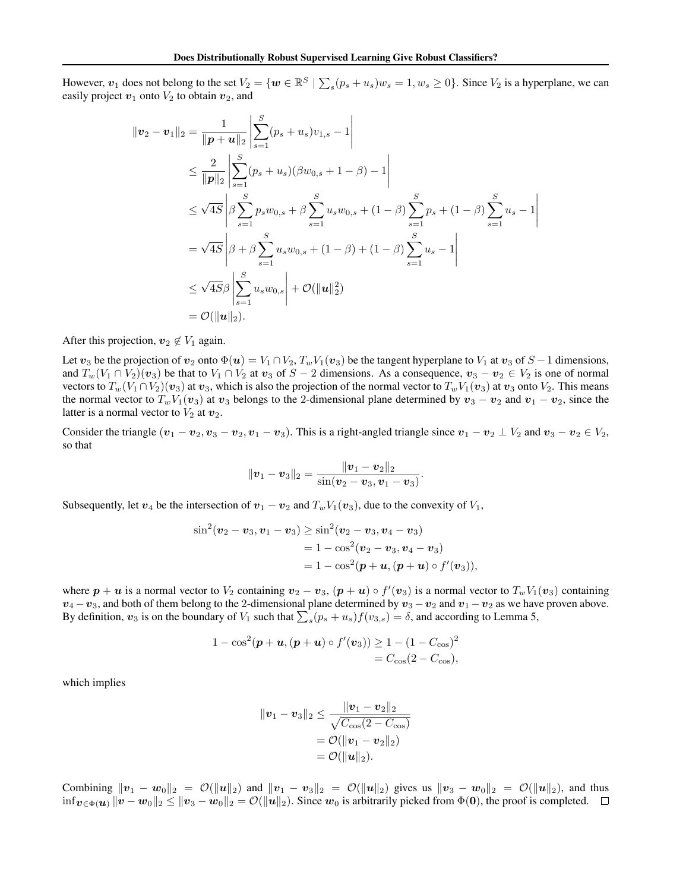However,  $v_1$  does not belong to the set  $V_2 = \{w \in \mathbb{R}^S \mid \sum_s (p_s + u_s)w_s = 1, w_s \ge 0\}$ . Since  $V_2$  is a hyperplane, we can easily project  $v_1$  onto  $V_2$  to obtain  $v_2$ , and

$$
\|\mathbf{v}_{2} - \mathbf{v}_{1}\|_{2} = \frac{1}{\|\mathbf{p} + \mathbf{u}\|_{2}} \left| \sum_{s=1}^{S} (p_{s} + u_{s}) v_{1,s} - 1 \right|
$$
  
\n
$$
\leq \frac{2}{\|\mathbf{p}\|_{2}} \left| \sum_{s=1}^{S} (p_{s} + u_{s}) (\beta w_{0,s} + 1 - \beta) - 1 \right|
$$
  
\n
$$
\leq \sqrt{4S} \left| \beta \sum_{s=1}^{S} p_{s} w_{0,s} + \beta \sum_{s=1}^{S} u_{s} w_{0,s} + (1 - \beta) \sum_{s=1}^{S} p_{s} + (1 - \beta) \sum_{s=1}^{S} u_{s} - 1 \right|
$$
  
\n
$$
= \sqrt{4S} \left| \beta + \beta \sum_{s=1}^{S} u_{s} w_{0,s} + (1 - \beta) + (1 - \beta) \sum_{s=1}^{S} u_{s} - 1 \right|
$$
  
\n
$$
\leq \sqrt{4S} \beta \left| \sum_{s=1}^{S} u_{s} w_{0,s} \right| + \mathcal{O}(\|\mathbf{u}\|_{2}^{2})
$$
  
\n
$$
= \mathcal{O}(\|\mathbf{u}\|_{2}).
$$

After this projection,  $v_2 \notin V_1$  again.

Let  $v_3$  be the projection of  $v_2$  onto  $\Phi(u) = V_1 \cap V_2$ ,  $T_w V_1(v_3)$  be the tangent hyperplane to  $V_1$  at  $v_3$  of  $S - 1$  dimensions, and  $T_w(V_1 \cap V_2)(v_3)$  be that to  $V_1 \cap V_2$  at  $v_3$  of  $S-2$  dimensions. As a consequence,  $v_3 - v_2 \in V_2$  is one of normal vectors to  $T_w(V_1 \cap V_2)(v_3)$  at  $v_3$ , which is also the projection of the normal vector to  $T_wV_1(v_3)$  at  $v_3$  onto  $V_2$ . This means the normal vector to  $T_w V_1(v_3)$  at  $v_3$  belongs to the 2-dimensional plane determined by  $v_3 - v_2$  and  $v_1 - v_2$ , since the latter is a normal vector to  $V_2$  at  $v_2$ .

Consider the triangle  $(v_1 - v_2, v_3 - v_2, v_1 - v_3)$ . This is a right-angled triangle since  $v_1 - v_2 \perp V_2$  and  $v_3 - v_2 \in V_2$ , so that

$$
\|\mathbf{v}_1-\mathbf{v}_3\|_2=\frac{\|\mathbf{v}_1-\mathbf{v}_2\|_2}{\sin(\mathbf{v}_2-\mathbf{v}_3,\mathbf{v}_1-\mathbf{v}_3)}
$$

*.*

Subsequently, let  $v_4$  be the intersection of  $v_1 - v_2$  and  $T_w V_1(v_3)$ , due to the convexity of  $V_1$ ,

$$
\sin^2(\mathbf{v}_2 - \mathbf{v}_3, \mathbf{v}_1 - \mathbf{v}_3) \ge \sin^2(\mathbf{v}_2 - \mathbf{v}_3, \mathbf{v}_4 - \mathbf{v}_3)
$$
  
= 1 - cos<sup>2</sup>(\mathbf{v}\_2 - \mathbf{v}\_3, \mathbf{v}\_4 - \mathbf{v}\_3)  
= 1 - cos<sup>2</sup>(\mathbf{p} + \mathbf{u}, (\mathbf{p} + \mathbf{u}) \circ f'(\mathbf{v}\_3)),

where  $p + u$  is a normal vector to  $V_2$  containing  $v_2 - v_3$ ,  $(p + u) \circ f'(v_3)$  is a normal vector to  $T_w V_1(v_3)$  containing  $v_4 - v_3$ , and both of them belong to the 2-dimensional plane determined by  $v_3 - v_2$  and  $v_1 - v_2$  as we have proven above. By definition,  $v_3$  is on the boundary of  $V_1$  such that  $\sum_s(p_s + u_s)f(v_{3,s}) = \delta$ , and according to Lemma 5,

$$
1 - \cos^{2}(\mathbf{p} + \mathbf{u}, (\mathbf{p} + \mathbf{u}) \circ f'(\mathbf{v}_{3})) \ge 1 - (1 - C_{\cos})^{2}
$$
  
=  $C_{\cos}(2 - C_{\cos}),$ 

which implies

$$
||v_1 - v_3||_2 \le \frac{||v_1 - v_2||_2}{\sqrt{C_{\cos}(2 - C_{\cos})}}
$$
  
=  $\mathcal{O}(||v_1 - v_2||_2)$   
=  $\mathcal{O}(||u||_2)$ .

Combining  $||v_1 - w_0||_2 = \mathcal{O}(||u||_2)$  and  $||v_1 - v_3||_2 = \mathcal{O}(||u||_2)$  gives us  $||v_3 - w_0||_2 = \mathcal{O}(||u||_2)$ , and thus inf $v \in \Phi(u)$   $||v - w_0||_2 \le ||v_3 - w_0||_2 = \mathcal{O}(||u||_2)$ . Since  $w_0$  is arbitrarily picked from  $\Phi(0)$ , the proof is completed. □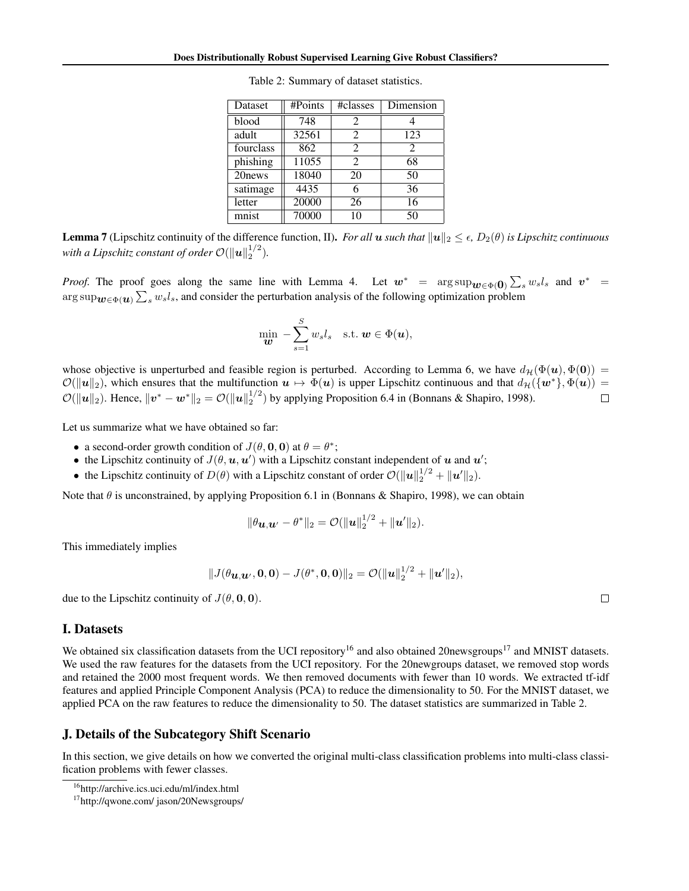| <b>Dataset</b>     | #Points | #classes       | Dimension |
|--------------------|---------|----------------|-----------|
| blood              | 748     | 2              |           |
| adult              | 32561   | $\overline{2}$ | 123       |
| fourclass          | 862     | $\mathfrak{D}$ | 2         |
| phishing           | 11055   | $\mathfrak{D}$ | 68        |
| 20 <sub>news</sub> | 18040   | 20             | 50        |
| satimage           | 4435    | 6              | 36        |
| letter             | 20000   | 26             | 16        |
| mnist              | 70000   | 10             | 50        |

Table 2: Summary of dataset statistics.

**Lemma 7** (Lipschitz continuity of the difference function, II). *For all*  $u$  *such that*  $||u||_2 \leq \epsilon$ ,  $D_2(\theta)$  *is Lipschitz continuous with a Lipschitz constant of order*  $\mathcal{O}(\|\boldsymbol{u}\|_2^{1/2})$ *.* 

*Proof.* The proof goes along the same line with Lemma 4. Let  $w^*$  =  $\arg \sup w \in \Phi(0) \sum_{s} w_s l_s$  and  $v^*$  =  $\arg \sup_{\bm{w} \in \Phi(\bm{u})} \sum_s w_s l_s$ , and consider the perturbation analysis of the following optimization problem

$$
\min_{\boldsymbol{w}} - \sum_{s=1}^{S} w_s l_s \quad \text{s.t. } \boldsymbol{w} \in \Phi(\boldsymbol{u}),
$$

whose objective is unperturbed and feasible region is perturbed. According to Lemma 6, we have  $d_{\mathcal{H}}(\Phi(u), \Phi(0)) =$ *O*( $||u||_2$ ), which ensures that the multifunction  $u \mapsto \Phi(u)$  is upper Lipschitz continuous and that  $d_{\mathcal{H}}(\{w^*\}, \Phi(u)) =$ <br>*O*( $||u||_2$ ). Hence,  $||v^* - w^*||_2 = O(||u||_2^{1/2})$  by applying Proposition 6.4 in (Bonnans & Shapiro,  $\mathcal{O}(\|\boldsymbol{u}\|_2)$ . Hence,  $\|\boldsymbol{v}^* - \boldsymbol{w}^*\|_2 = \mathcal{O}(\|\boldsymbol{u}\|_2^{1/2})$  by applying Proposition 6.4 in (Bonnans & Shapiro, 1998).

Let us summarize what we have obtained so far:

- a second-order growth condition of  $J(\theta, \mathbf{0}, \mathbf{0})$  at  $\theta = \theta^*$ ;
- the Lipschitz continuity of  $J(\theta, \mathbf{u}, \mathbf{u}')$  with a Lipschitz constant independent of *u* and *u'*;
- the Lipschitz continuity of  $D(\theta)$  with a Lipschitz constant of order  $\mathcal{O}(\|\boldsymbol{u}\|_2^{1/2} + \|\boldsymbol{u}'\|_2)$ .

Note that  $\theta$  is unconstrained, by applying Proposition 6.1 in (Bonnans & Shapiro, 1998), we can obtain

$$
\|\theta_{\boldsymbol{u},\boldsymbol{u}'}-\theta^*\|_2=\mathcal{O}(\|\boldsymbol{u}\|_2^{1/2}+\|\boldsymbol{u}'\|_2).
$$

This immediately implies

$$
||J(\theta_{\mathbf{u},\mathbf{u}'},\mathbf{0},\mathbf{0})-J(\theta^*,\mathbf{0},\mathbf{0})||_2=\mathcal{O}(||\mathbf{u}||_2^{1/2}+||\mathbf{u}'||_2),
$$

due to the Lipschitz continuity of  $J(\theta, 0, 0)$ .

#### I. Datasets

We obtained six classification datasets from the UCI repository<sup>16</sup> and also obtained 20newsgroups<sup>17</sup> and MNIST datasets. We used the raw features for the datasets from the UCI repository. For the 20newgroups dataset, we removed stop words and retained the 2000 most frequent words. We then removed documents with fewer than 10 words. We extracted tf-idf features and applied Principle Component Analysis (PCA) to reduce the dimensionality to 50. For the MNIST dataset, we applied PCA on the raw features to reduce the dimensionality to 50. The dataset statistics are summarized in Table 2.

#### J. Details of the Subcategory Shift Scenario

In this section, we give details on how we converted the original multi-class classification problems into multi-class classification problems with fewer classes.

 $\Box$ 

<sup>16</sup>http://archive.ics.uci.edu/ml/index.html

<sup>17</sup>http://qwone.com/ jason/20Newsgroups/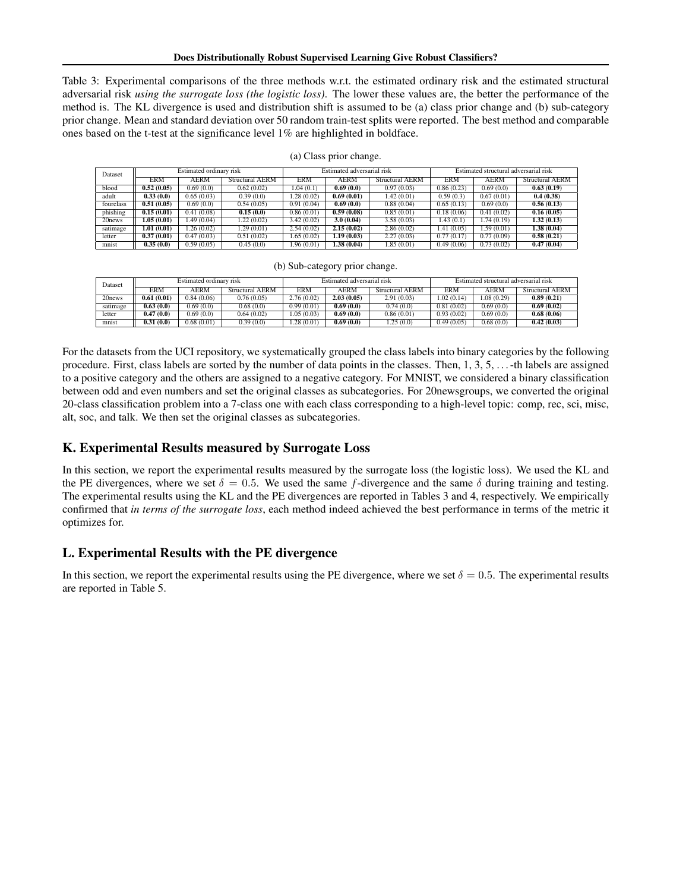Table 3: Experimental comparisons of the three methods w.r.t. the estimated ordinary risk and the estimated structural adversarial risk *using the surrogate loss (the logistic loss)*. The lower these values are, the better the performance of the method is. The KL divergence is used and distribution shift is assumed to be (a) class prior change and (b) sub-category prior change. Mean and standard deviation over 50 random train-test splits were reported. The best method and comparable ones based on the t-test at the significance level 1% are highlighted in boldface.

| Dataset            | Estimated ordinary risk |            |                        | Estimated adversarial risk |             |                        | Estimated structural adversarial risk |            |                        |
|--------------------|-------------------------|------------|------------------------|----------------------------|-------------|------------------------|---------------------------------------|------------|------------------------|
|                    | <b>ERM</b>              | AERM       | <b>Structural AERM</b> | <b>ERM</b>                 | AERM        | <b>Structural AERM</b> | ERM                                   | AERM       | <b>Structural AERM</b> |
| blood              | 0.52(0.05)              | 0.69(0.0)  | 0.62(0.02)             | .04(0.1)                   | 0.69(0.0)   | 0.97(0.03)             | 0.86(0.23)                            | 0.69(0.0)  | 0.63(0.19)             |
| adult              | 0.33(0.0)               | 0.65(0.03) | 0.39(0.0)              | .28(0.02)                  | 0.69(0.01)  | 1.42(0.01)             | 0.59(0.3)                             | 0.67(0.01) | 0.4(0.38)              |
| fourclass          | 0.51(0.05)              | 0.69(0.0)  | 0.54(0.05)             | 0.91(0.04)                 | 0.69(0.0)   | 0.88(0.04)             | 0.65(0.13)                            | 0.69(0.0)  | 0.56(0.13)             |
| phishing           | 0.15(0.01)              | 0.41(0.08) | 0.15(0.0)              | 0.86(0.01)                 | 0.59(0.08)  | 0.85(0.01)             | 0.18(0.06)                            | 0.41(0.02) | 0.16(0.05)             |
| 20 <sub>news</sub> | 1.05(0.01)              | 1.49(0.04) | 1.22(0.02)             | 3.42(0.02)                 | 3.0(0.04)   | 3.58(0.03)             | 1.43(0.1)                             | .74(0.19)  | 1.32(0.13)             |
| satimage           | 1.01(0.01)              | 1.26(0.02) | .29(0.01)              | 2.54(0.02)                 | 2.15(0.02)  | 2.86(0.02)             | 1.41(0.05)                            | 1.59(0.01) | 1.38(0.04)             |
| letter             | 0.37(0.01)              | 0.47(0.03) | 0.51(0.02)             | 1.65(0.02)                 | 1.19 (0.03) | 2.27(0.03)             | 0.77(0.17)                            | 0.77(0.09) | 0.58(0.21)             |
| mnist              | 0.35(0.0)               | 0.59(0.05) | 0.45(0.0)              | 1.96 (0.01)                | 1.38 (0.04) | 1.85(0.01)             | 0.49(0.06)                            | 0.73(0.02) | 0.47(0.04)             |

(a) Class prior change.

| (b) Sub-category prior change. |  |
|--------------------------------|--|
|                                |  |

| Dataset            | Estimated ordinary risk |            |                 | Estimated adversarial risk |             |                 | Estimated structural adversarial risk |             |                        |
|--------------------|-------------------------|------------|-----------------|----------------------------|-------------|-----------------|---------------------------------------|-------------|------------------------|
|                    | ERM                     | AERM       | Structural AERM | <b>ERM</b>                 | <b>AERM</b> | Structural AERM | <b>ERM</b>                            | <b>AERM</b> | <b>Structural AERM</b> |
| 20 <sub>news</sub> | 0.61(0.01)              | 0.84(0.06) | 0.76(0.05)      | 2.76(0.02)                 | 2.03(0.05)  | 2.91(0.03)      | 1.02(0.14)                            | 0.08(0.29)  | 0.89(0.21)             |
| satimage           | 0.63(0.0)               | 0.69(0.0)  | 0.68(0.0)       | 0.99(0.01)                 | 0.69(0.0)   | 0.74(0.0)       | 0.81(0.02)                            | 0.69(0.0)   | 0.69(0.02)             |
| letter             | 0.47(0.0)               | 0.69(0.0)  | 0.64(0.02)      | .05(0.03)                  | 0.69(0.0)   | 0.86(0.01)      | 0.93(0.02)                            | 0.69(0.0)   | 0.68(0.06)             |
| mnist              | 0.31(0.0)               | 0.68(0.01) | 0.39(0.0)       | .28(0.01)                  | 0.69(0.0)   | .25(0.0)        | 0.49(0.05)                            | 0.68(0.0)   | 0.42(0.03)             |

For the datasets from the UCI repository, we systematically grouped the class labels into binary categories by the following procedure. First, class labels are sorted by the number of data points in the classes. Then, 1, 3, 5, . . . -th labels are assigned to a positive category and the others are assigned to a negative category. For MNIST, we considered a binary classification between odd and even numbers and set the original classes as subcategories. For 20newsgroups, we converted the original 20-class classification problem into a 7-class one with each class corresponding to a high-level topic: comp, rec, sci, misc, alt, soc, and talk. We then set the original classes as subcategories.

# K. Experimental Results measured by Surrogate Loss

In this section, we report the experimental results measured by the surrogate loss (the logistic loss). We used the KL and the PE divergences, where we set  $\delta = 0.5$ . We used the same *f*-divergence and the same  $\delta$  during training and testing. The experimental results using the KL and the PE divergences are reported in Tables 3 and 4, respectively. We empirically confirmed that *in terms of the surrogate loss*, each method indeed achieved the best performance in terms of the metric it optimizes for.

# L. Experimental Results with the PE divergence

In this section, we report the experimental results using the PE divergence, where we set  $\delta = 0.5$ . The experimental results are reported in Table 5.